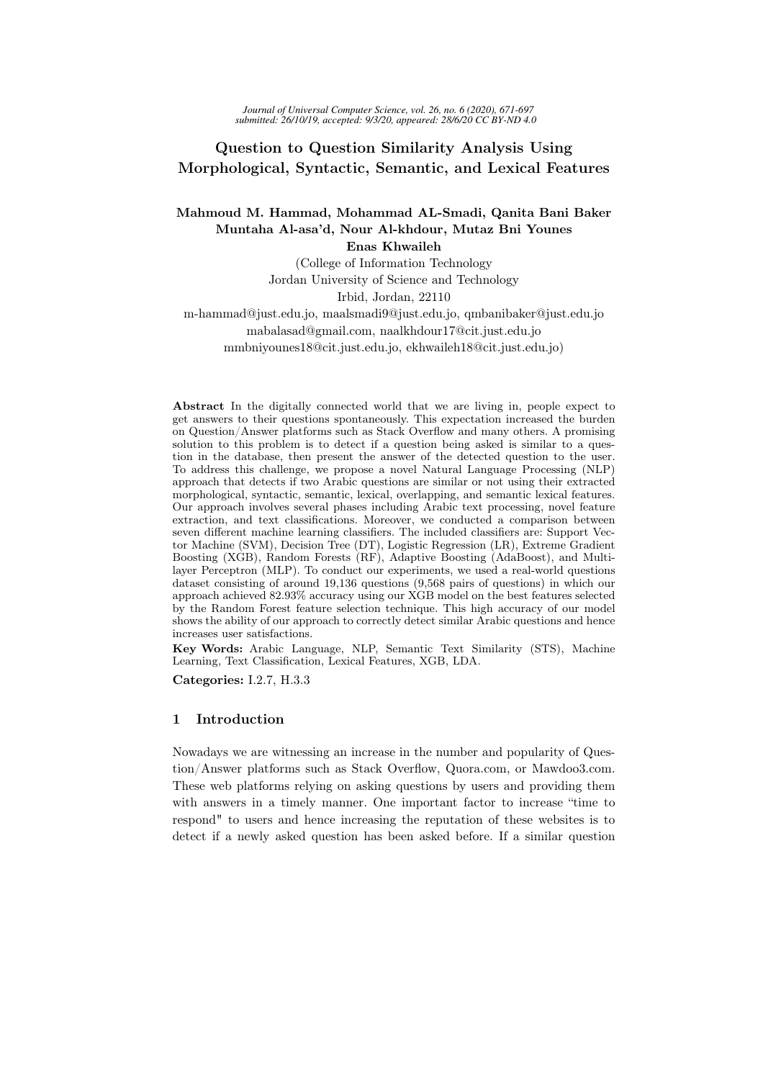# Question to Question Similarity Analysis Using Morphological, Syntactic, Semantic, and Lexical Features

Mahmoud M. Hammad, Mohammad AL-Smadi, Qanita Bani Baker Muntaha Al-asa'd, Nour Al-khdour, Mutaz Bni Younes

Enas Khwaileh

(College of Information Technology

Jordan University of Science and Technology

Irbid, Jordan, 22110

m-hammad@just.edu.jo, maalsmadi9@just.edu.jo, qmbanibaker@just.edu.jo mabalasad@gmail.com, naalkhdour17@cit.just.edu.jo mmbniyounes18@cit.just.edu.jo, ekhwaileh18@cit.just.edu.jo)

Abstract In the digitally connected world that we are living in, people expect to get answers to their questions spontaneously. This expectation increased the burden on Question/Answer platforms such as Stack Overflow and many others. A promising solution to this problem is to detect if a question being asked is similar to a question in the database, then present the answer of the detected question to the user. To address this challenge, we propose a novel Natural Language Processing (NLP) approach that detects if two Arabic questions are similar or not using their extracted morphological, syntactic, semantic, lexical, overlapping, and semantic lexical features. Our approach involves several phases including Arabic text processing, novel feature extraction, and text classifications. Moreover, we conducted a comparison between seven different machine learning classifiers. The included classifiers are: Support Vector Machine (SVM), Decision Tree (DT), Logistic Regression (LR), Extreme Gradient Boosting (XGB), Random Forests (RF), Adaptive Boosting (AdaBoost), and Multilayer Perceptron (MLP). To conduct our experiments, we used a real-world questions dataset consisting of around 19,136 questions (9,568 pairs of questions) in which our approach achieved 82.93% accuracy using our XGB model on the best features selected by the Random Forest feature selection technique. This high accuracy of our model shows the ability of our approach to correctly detect similar Arabic questions and hence increases user satisfactions.

Key Words: Arabic Language, NLP, Semantic Text Similarity (STS), Machine Learning, Text Classification, Lexical Features, XGB, LDA.

Categories: I.2.7, H.3.3

## 1 Introduction

Nowadays we are witnessing an increase in the number and popularity of Question/Answer platforms such as Stack Overflow, Quora.com, or Mawdoo3.com. These web platforms relying on asking questions by users and providing them with answers in a timely manner. One important factor to increase "time to respond" to users and hence increasing the reputation of these websites is to detect if a newly asked question has been asked before. If a similar question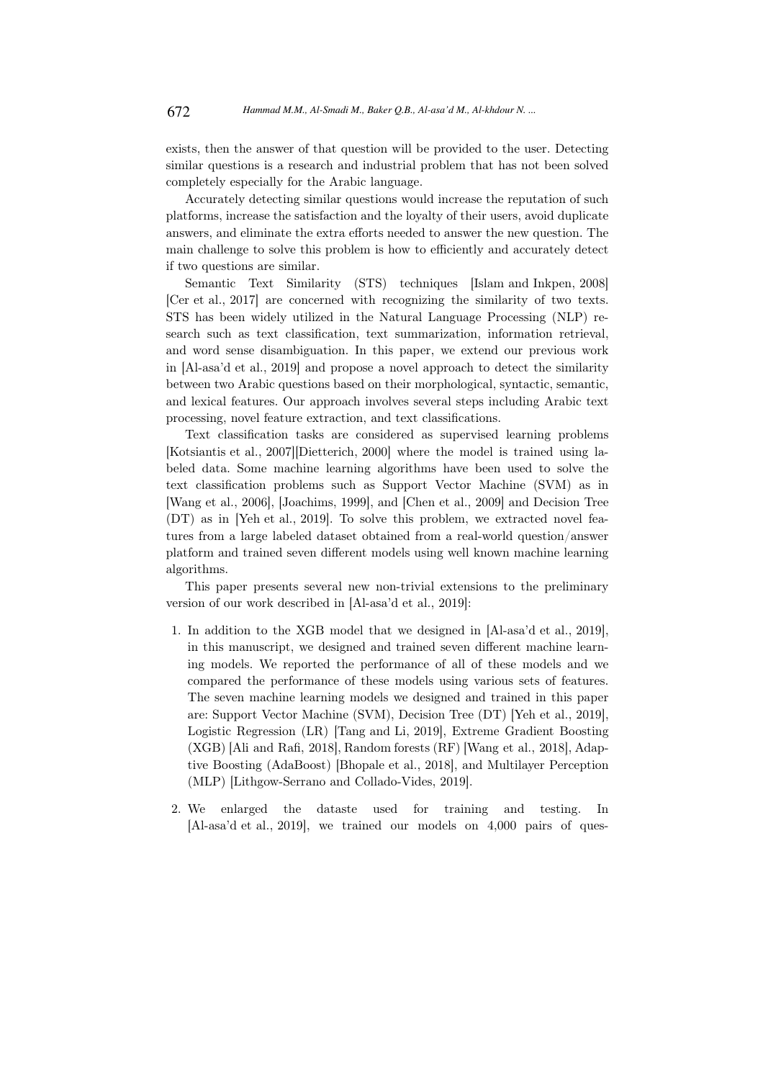exists, then the answer of that question will be provided to the user. Detecting similar questions is a research and industrial problem that has not been solved completely especially for the Arabic language.

Accurately detecting similar questions would increase the reputation of such platforms, increase the satisfaction and the loyalty of their users, avoid duplicate answers, and eliminate the extra efforts needed to answer the new question. The main challenge to solve this problem is how to efficiently and accurately detect if two questions are similar.

Semantic Text Similarity (STS) techniques [Islam and Inkpen, 2008] [Cer et al., 2017] are concerned with recognizing the similarity of two texts. STS has been widely utilized in the Natural Language Processing (NLP) research such as text classification, text summarization, information retrieval, and word sense disambiguation. In this paper, we extend our previous work in [Al-asa'd et al., 2019] and propose a novel approach to detect the similarity between two Arabic questions based on their morphological, syntactic, semantic, and lexical features. Our approach involves several steps including Arabic text processing, novel feature extraction, and text classifications.

Text classification tasks are considered as supervised learning problems [Kotsiantis et al., 2007][Dietterich, 2000] where the model is trained using labeled data. Some machine learning algorithms have been used to solve the text classification problems such as Support Vector Machine (SVM) as in [Wang et al., 2006], [Joachims, 1999], and [Chen et al., 2009] and Decision Tree (DT) as in [Yeh et al., 2019]. To solve this problem, we extracted novel features from a large labeled dataset obtained from a real-world question/answer platform and trained seven different models using well known machine learning algorithms.

This paper presents several new non-trivial extensions to the preliminary version of our work described in [Al-asa'd et al., 2019]:

- 1. In addition to the XGB model that we designed in [Al-asa'd et al., 2019], in this manuscript, we designed and trained seven different machine learning models. We reported the performance of all of these models and we compared the performance of these models using various sets of features. The seven machine learning models we designed and trained in this paper are: Support Vector Machine (SVM), Decision Tree (DT) [Yeh et al., 2019], Logistic Regression (LR) [Tang and Li, 2019], Extreme Gradient Boosting (XGB) [Ali and Rafi, 2018], Random forests (RF) [Wang et al., 2018], Adaptive Boosting (AdaBoost) [Bhopale et al., 2018], and Multilayer Perception (MLP) [Lithgow-Serrano and Collado-Vides, 2019].
- 2. We enlarged the dataste used for training and testing. In [Al-asa'd et al., 2019], we trained our models on 4,000 pairs of ques-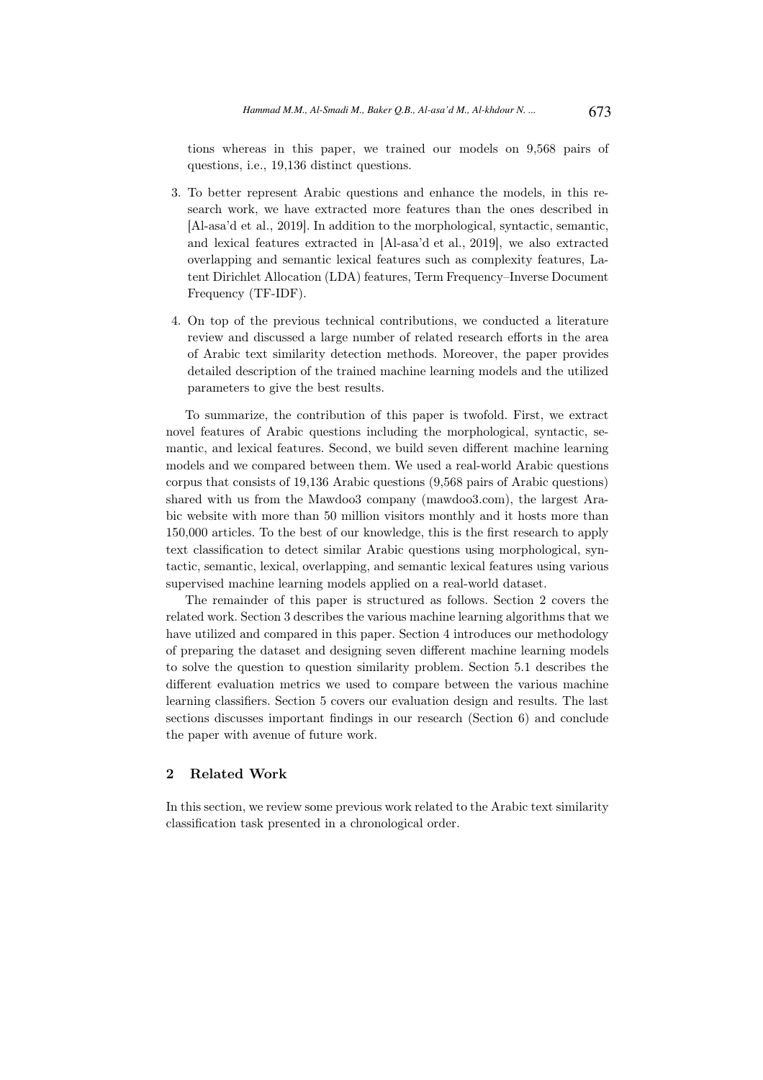tions whereas in this paper, we trained our models on 9,568 pairs of questions, i.e., 19,136 distinct questions.

- 3. To better represent Arabic questions and enhance the models, in this research work, we have extracted more features than the ones described in [Al-asa'd et al., 2019]. In addition to the morphological, syntactic, semantic, and lexical features extracted in [Al-asa'd et al., 2019], we also extracted overlapping and semantic lexical features such as complexity features, Latent Dirichlet Allocation (LDA) features, Term Frequency–Inverse Document Frequency (TF-IDF).
- 4. On top of the previous technical contributions, we conducted a literature review and discussed a large number of related research efforts in the area of Arabic text similarity detection methods. Moreover, the paper provides detailed description of the trained machine learning models and the utilized parameters to give the best results.

To summarize, the contribution of this paper is twofold. First, we extract novel features of Arabic questions including the morphological, syntactic, semantic, and lexical features. Second, we build seven different machine learning models and we compared between them. We used a real-world Arabic questions corpus that consists of 19,136 Arabic questions (9,568 pairs of Arabic questions) shared with us from the Mawdoo3 company (mawdoo3.com), the largest Arabic website with more than 50 million visitors monthly and it hosts more than 150,000 articles. To the best of our knowledge, this is the first research to apply text classification to detect similar Arabic questions using morphological, syntactic, semantic, lexical, overlapping, and semantic lexical features using various supervised machine learning models applied on a real-world dataset.

The remainder of this paper is structured as follows. Section 2 covers the related work. Section 3 describes the various machine learning algorithms that we have utilized and compared in this paper. Section 4 introduces our methodology of preparing the dataset and designing seven different machine learning models to solve the question to question similarity problem. Section 5.1 describes the different evaluation metrics we used to compare between the various machine learning classifiers. Section 5 covers our evaluation design and results. The last sections discusses important findings in our research (Section 6) and conclude the paper with avenue of future work.

## 2 Related Work

In this section, we review some previous work related to the Arabic text similarity classification task presented in a chronological order.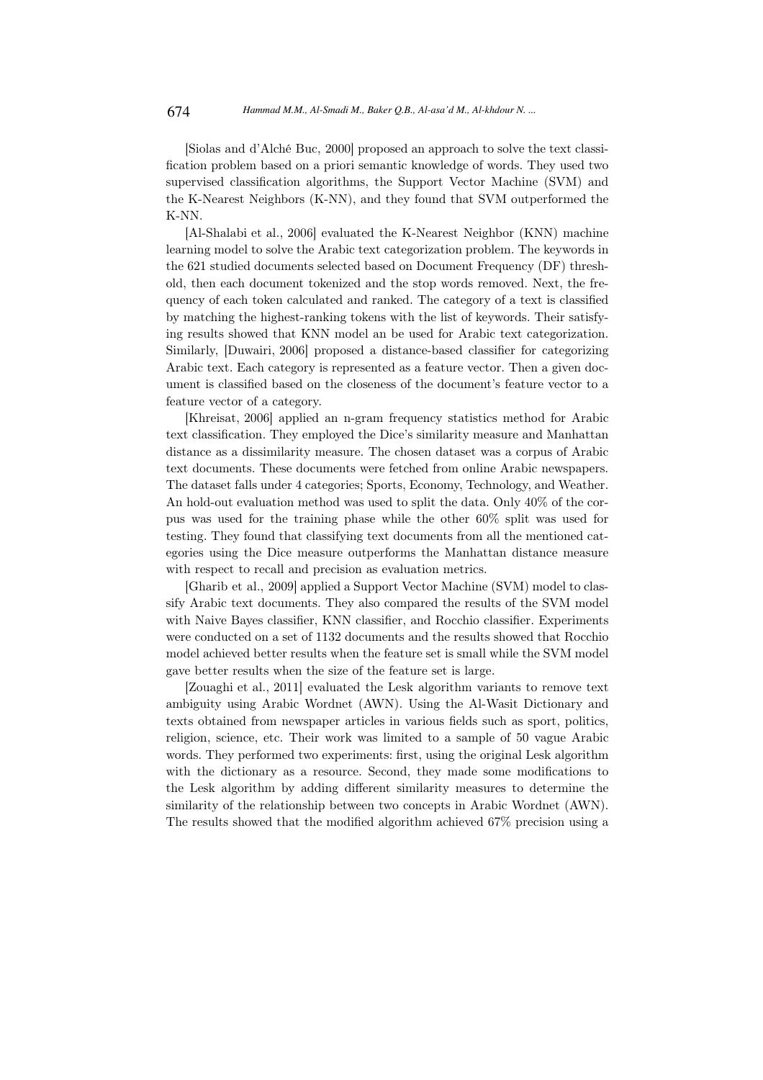[Siolas and d'Alché Buc, 2000] proposed an approach to solve the text classification problem based on a priori semantic knowledge of words. They used two supervised classification algorithms, the Support Vector Machine (SVM) and the K-Nearest Neighbors (K-NN), and they found that SVM outperformed the K-NN.

[Al-Shalabi et al., 2006] evaluated the K-Nearest Neighbor (KNN) machine learning model to solve the Arabic text categorization problem. The keywords in the 621 studied documents selected based on Document Frequency (DF) threshold, then each document tokenized and the stop words removed. Next, the frequency of each token calculated and ranked. The category of a text is classified by matching the highest-ranking tokens with the list of keywords. Their satisfying results showed that KNN model an be used for Arabic text categorization. Similarly, [Duwairi, 2006] proposed a distance-based classifier for categorizing Arabic text. Each category is represented as a feature vector. Then a given document is classified based on the closeness of the document's feature vector to a feature vector of a category.

[Khreisat, 2006] applied an n-gram frequency statistics method for Arabic text classification. They employed the Dice's similarity measure and Manhattan distance as a dissimilarity measure. The chosen dataset was a corpus of Arabic text documents. These documents were fetched from online Arabic newspapers. The dataset falls under 4 categories; Sports, Economy, Technology, and Weather. An hold-out evaluation method was used to split the data. Only 40% of the corpus was used for the training phase while the other 60% split was used for testing. They found that classifying text documents from all the mentioned categories using the Dice measure outperforms the Manhattan distance measure with respect to recall and precision as evaluation metrics.

[Gharib et al., 2009] applied a Support Vector Machine (SVM) model to classify Arabic text documents. They also compared the results of the SVM model with Naive Bayes classifier, KNN classifier, and Rocchio classifier. Experiments were conducted on a set of 1132 documents and the results showed that Rocchio model achieved better results when the feature set is small while the SVM model gave better results when the size of the feature set is large.

[Zouaghi et al., 2011] evaluated the Lesk algorithm variants to remove text ambiguity using Arabic Wordnet (AWN). Using the Al-Wasit Dictionary and texts obtained from newspaper articles in various fields such as sport, politics, religion, science, etc. Their work was limited to a sample of 50 vague Arabic words. They performed two experiments: first, using the original Lesk algorithm with the dictionary as a resource. Second, they made some modifications to the Lesk algorithm by adding different similarity measures to determine the similarity of the relationship between two concepts in Arabic Wordnet (AWN). The results showed that the modified algorithm achieved 67% precision using a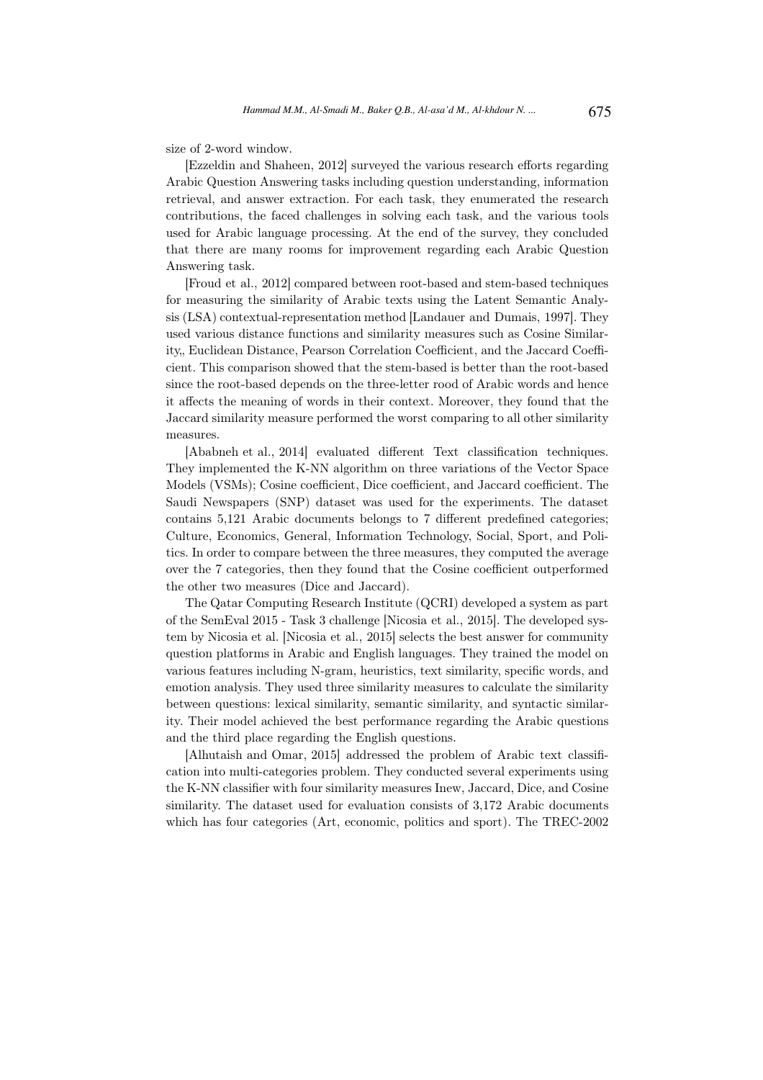size of 2-word window.

[Ezzeldin and Shaheen, 2012] surveyed the various research efforts regarding Arabic Question Answering tasks including question understanding, information retrieval, and answer extraction. For each task, they enumerated the research contributions, the faced challenges in solving each task, and the various tools used for Arabic language processing. At the end of the survey, they concluded that there are many rooms for improvement regarding each Arabic Question Answering task.

[Froud et al., 2012] compared between root-based and stem-based techniques for measuring the similarity of Arabic texts using the Latent Semantic Analysis (LSA) contextual-representation method [Landauer and Dumais, 1997]. They used various distance functions and similarity measures such as Cosine Similarity, Euclidean Distance, Pearson Correlation Coefficient, and the Jaccard Coefficient. This comparison showed that the stem-based is better than the root-based since the root-based depends on the three-letter rood of Arabic words and hence it affects the meaning of words in their context. Moreover, they found that the Jaccard similarity measure performed the worst comparing to all other similarity measures.

[Ababneh et al., 2014] evaluated different Text classification techniques. They implemented the K-NN algorithm on three variations of the Vector Space Models (VSMs); Cosine coefficient, Dice coefficient, and Jaccard coefficient. The Saudi Newspapers (SNP) dataset was used for the experiments. The dataset contains 5,121 Arabic documents belongs to 7 different predefined categories; Culture, Economics, General, Information Technology, Social, Sport, and Politics. In order to compare between the three measures, they computed the average over the 7 categories, then they found that the Cosine coefficient outperformed the other two measures (Dice and Jaccard).

The Qatar Computing Research Institute (QCRI) developed a system as part of the SemEval 2015 - Task 3 challenge [Nicosia et al., 2015]. The developed system by Nicosia et al. [Nicosia et al., 2015] selects the best answer for community question platforms in Arabic and English languages. They trained the model on various features including N-gram, heuristics, text similarity, specific words, and emotion analysis. They used three similarity measures to calculate the similarity between questions: lexical similarity, semantic similarity, and syntactic similarity. Their model achieved the best performance regarding the Arabic questions and the third place regarding the English questions.

[Alhutaish and Omar, 2015] addressed the problem of Arabic text classification into multi-categories problem. They conducted several experiments using the K-NN classifier with four similarity measures Inew, Jaccard, Dice, and Cosine similarity. The dataset used for evaluation consists of 3,172 Arabic documents which has four categories (Art, economic, politics and sport). The TREC-2002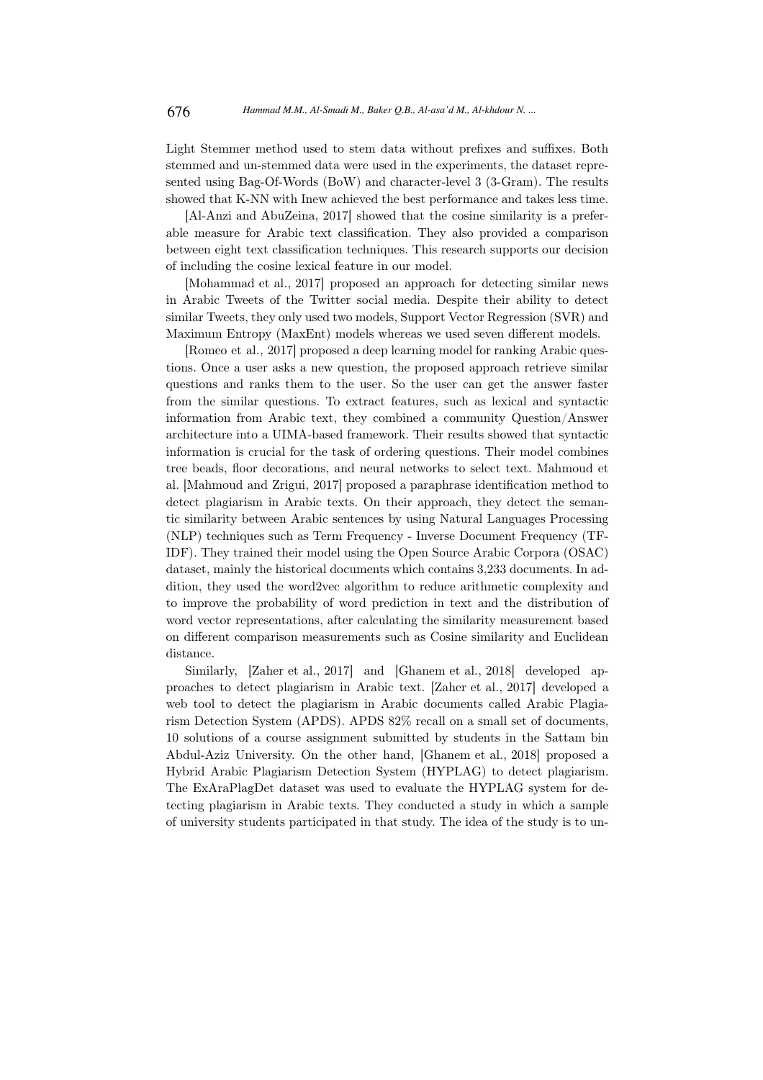Light Stemmer method used to stem data without prefixes and suffixes. Both stemmed and un-stemmed data were used in the experiments, the dataset represented using Bag-Of-Words (BoW) and character-level 3 (3-Gram). The results showed that K-NN with Inew achieved the best performance and takes less time.

[Al-Anzi and AbuZeina, 2017] showed that the cosine similarity is a preferable measure for Arabic text classification. They also provided a comparison between eight text classification techniques. This research supports our decision of including the cosine lexical feature in our model.

[Mohammad et al., 2017] proposed an approach for detecting similar news in Arabic Tweets of the Twitter social media. Despite their ability to detect similar Tweets, they only used two models, Support Vector Regression (SVR) and Maximum Entropy (MaxEnt) models whereas we used seven different models.

[Romeo et al., 2017] proposed a deep learning model for ranking Arabic questions. Once a user asks a new question, the proposed approach retrieve similar questions and ranks them to the user. So the user can get the answer faster from the similar questions. To extract features, such as lexical and syntactic information from Arabic text, they combined a community Question/Answer architecture into a UIMA-based framework. Their results showed that syntactic information is crucial for the task of ordering questions. Their model combines tree beads, floor decorations, and neural networks to select text. Mahmoud et al. [Mahmoud and Zrigui, 2017] proposed a paraphrase identification method to detect plagiarism in Arabic texts. On their approach, they detect the semantic similarity between Arabic sentences by using Natural Languages Processing (NLP) techniques such as Term Frequency - Inverse Document Frequency (TF-IDF). They trained their model using the Open Source Arabic Corpora (OSAC) dataset, mainly the historical documents which contains 3,233 documents. In addition, they used the word2vec algorithm to reduce arithmetic complexity and to improve the probability of word prediction in text and the distribution of word vector representations, after calculating the similarity measurement based on different comparison measurements such as Cosine similarity and Euclidean distance.

Similarly, [Zaher et al., 2017] and [Ghanem et al., 2018] developed approaches to detect plagiarism in Arabic text. [Zaher et al., 2017] developed a web tool to detect the plagiarism in Arabic documents called Arabic Plagiarism Detection System (APDS). APDS 82% recall on a small set of documents, 10 solutions of a course assignment submitted by students in the Sattam bin Abdul-Aziz University. On the other hand, [Ghanem et al., 2018] proposed a Hybrid Arabic Plagiarism Detection System (HYPLAG) to detect plagiarism. The ExAraPlagDet dataset was used to evaluate the HYPLAG system for detecting plagiarism in Arabic texts. They conducted a study in which a sample of university students participated in that study. The idea of the study is to un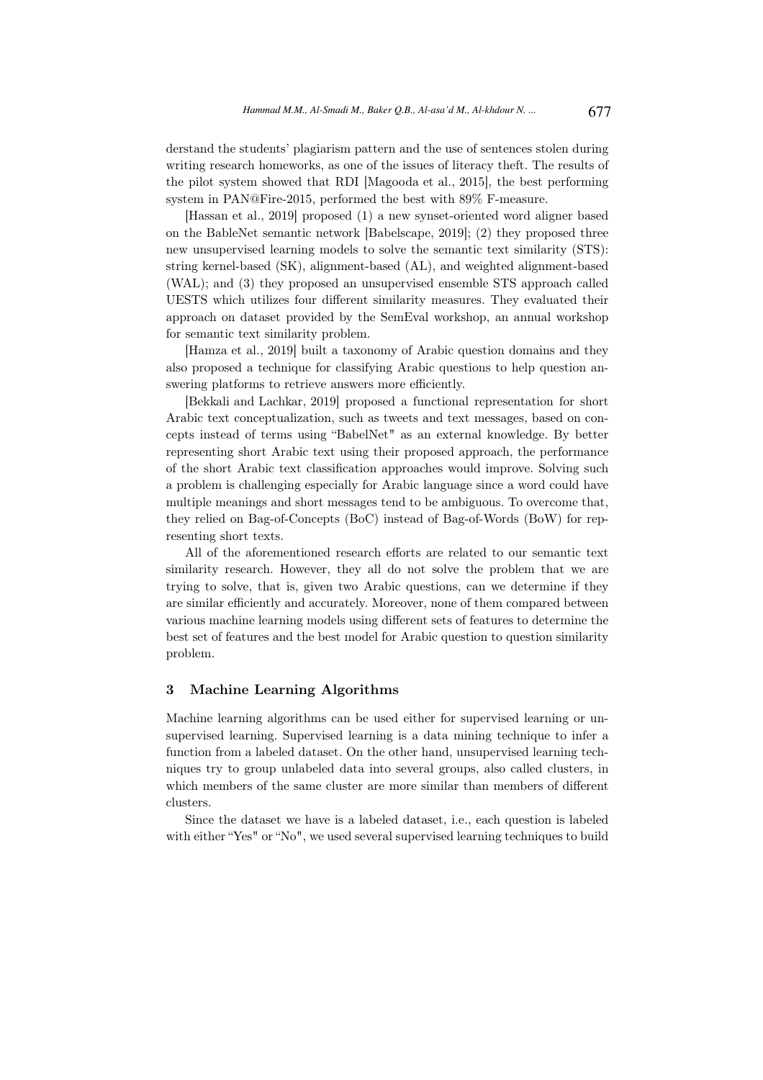derstand the students' plagiarism pattern and the use of sentences stolen during writing research homeworks, as one of the issues of literacy theft. The results of the pilot system showed that RDI [Magooda et al., 2015], the best performing system in PAN@Fire-2015, performed the best with 89% F-measure.

[Hassan et al., 2019] proposed (1) a new synset-oriented word aligner based on the BableNet semantic network [Babelscape, 2019]; (2) they proposed three new unsupervised learning models to solve the semantic text similarity (STS): string kernel-based (SK), alignment-based (AL), and weighted alignment-based (WAL); and (3) they proposed an unsupervised ensemble STS approach called UESTS which utilizes four different similarity measures. They evaluated their approach on dataset provided by the SemEval workshop, an annual workshop for semantic text similarity problem.

[Hamza et al., 2019] built a taxonomy of Arabic question domains and they also proposed a technique for classifying Arabic questions to help question answering platforms to retrieve answers more efficiently.

[Bekkali and Lachkar, 2019] proposed a functional representation for short Arabic text conceptualization, such as tweets and text messages, based on concepts instead of terms using "BabelNet" as an external knowledge. By better representing short Arabic text using their proposed approach, the performance of the short Arabic text classification approaches would improve. Solving such a problem is challenging especially for Arabic language since a word could have multiple meanings and short messages tend to be ambiguous. To overcome that, they relied on Bag-of-Concepts (BoC) instead of Bag-of-Words (BoW) for representing short texts.

All of the aforementioned research efforts are related to our semantic text similarity research. However, they all do not solve the problem that we are trying to solve, that is, given two Arabic questions, can we determine if they are similar efficiently and accurately. Moreover, none of them compared between various machine learning models using different sets of features to determine the best set of features and the best model for Arabic question to question similarity problem.

### 3 Machine Learning Algorithms

Machine learning algorithms can be used either for supervised learning or unsupervised learning. Supervised learning is a data mining technique to infer a function from a labeled dataset. On the other hand, unsupervised learning techniques try to group unlabeled data into several groups, also called clusters, in which members of the same cluster are more similar than members of different clusters.

Since the dataset we have is a labeled dataset, i.e., each question is labeled with either "Yes" or "No", we used several supervised learning techniques to build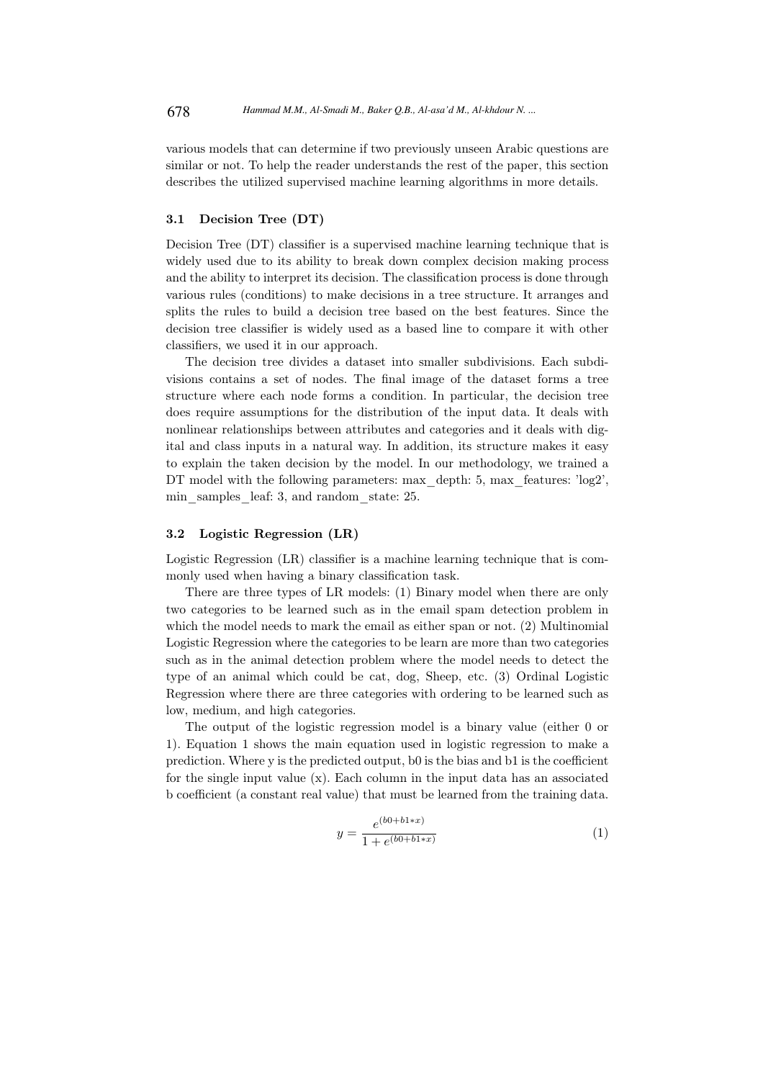various models that can determine if two previously unseen Arabic questions are similar or not. To help the reader understands the rest of the paper, this section describes the utilized supervised machine learning algorithms in more details.

## 3.1 Decision Tree (DT)

Decision Tree (DT) classifier is a supervised machine learning technique that is widely used due to its ability to break down complex decision making process and the ability to interpret its decision. The classification process is done through various rules (conditions) to make decisions in a tree structure. It arranges and splits the rules to build a decision tree based on the best features. Since the decision tree classifier is widely used as a based line to compare it with other classifiers, we used it in our approach.

The decision tree divides a dataset into smaller subdivisions. Each subdivisions contains a set of nodes. The final image of the dataset forms a tree structure where each node forms a condition. In particular, the decision tree does require assumptions for the distribution of the input data. It deals with nonlinear relationships between attributes and categories and it deals with digital and class inputs in a natural way. In addition, its structure makes it easy to explain the taken decision by the model. In our methodology, we trained a DT model with the following parameters: max\_depth: 5, max\_features: 'log2', min samples leaf: 3, and random state: 25.

## 3.2 Logistic Regression (LR)

Logistic Regression (LR) classifier is a machine learning technique that is commonly used when having a binary classification task.

There are three types of LR models: (1) Binary model when there are only two categories to be learned such as in the email spam detection problem in which the model needs to mark the email as either span or not. (2) Multinomial Logistic Regression where the categories to be learn are more than two categories such as in the animal detection problem where the model needs to detect the type of an animal which could be cat, dog, Sheep, etc. (3) Ordinal Logistic Regression where there are three categories with ordering to be learned such as low, medium, and high categories.

The output of the logistic regression model is a binary value (either 0 or 1). Equation 1 shows the main equation used in logistic regression to make a prediction. Where y is the predicted output, b0 is the bias and b1 is the coefficient for the single input value  $(x)$ . Each column in the input data has an associated b coefficient (a constant real value) that must be learned from the training data.

$$
y = \frac{e^{(b0 + b1 + x)}}{1 + e^{(b0 + b1 + x)}}
$$
(1)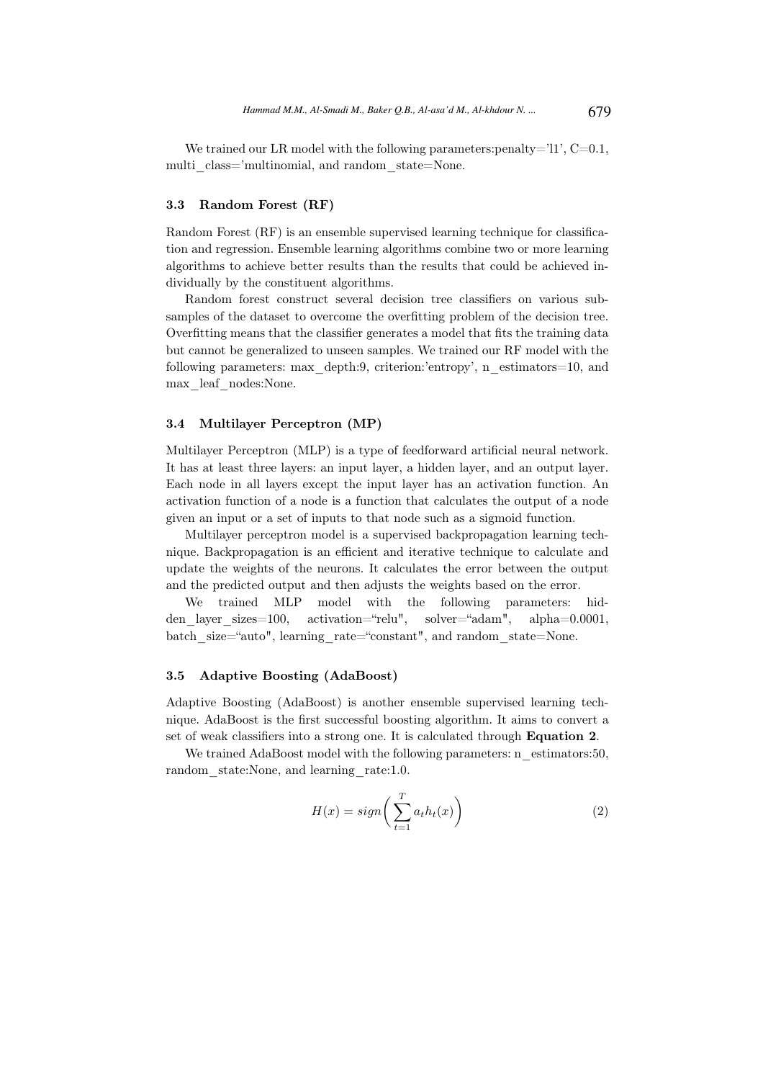We trained our LR model with the following parameters: penalty= $'11'$ ,  $C=0.1$ , multi class='multinomial, and random state=None.

#### 3.3 Random Forest (RF)

Random Forest (RF) is an ensemble supervised learning technique for classification and regression. Ensemble learning algorithms combine two or more learning algorithms to achieve better results than the results that could be achieved individually by the constituent algorithms.

Random forest construct several decision tree classifiers on various subsamples of the dataset to overcome the overfitting problem of the decision tree. Overfitting means that the classifier generates a model that fits the training data but cannot be generalized to unseen samples. We trained our RF model with the following parameters: max\_depth:9, criterion:'entropy', n\_estimators=10, and max\_leaf\_nodes:None.

#### 3.4 Multilayer Perceptron (MP)

Multilayer Perceptron (MLP) is a type of feedforward artificial neural network. It has at least three layers: an input layer, a hidden layer, and an output layer. Each node in all layers except the input layer has an activation function. An activation function of a node is a function that calculates the output of a node given an input or a set of inputs to that node such as a sigmoid function.

Multilayer perceptron model is a supervised backpropagation learning technique. Backpropagation is an efficient and iterative technique to calculate and update the weights of the neurons. It calculates the error between the output and the predicted output and then adjusts the weights based on the error.

We trained MLP model with the following parameters: hidden layer sizes=100, activation="relu", solver="adam", alpha=0.0001, batch size="auto", learning rate="constant", and random state=None.

#### 3.5 Adaptive Boosting (AdaBoost)

Adaptive Boosting (AdaBoost) is another ensemble supervised learning technique. AdaBoost is the first successful boosting algorithm. It aims to convert a set of weak classifiers into a strong one. It is calculated through Equation 2.

We trained AdaBoost model with the following parameters: n\_estimators:50, random state:None, and learning rate:1.0.

$$
H(x) = sign\left(\sum_{t=1}^{T} a_t h_t(x)\right) \tag{2}
$$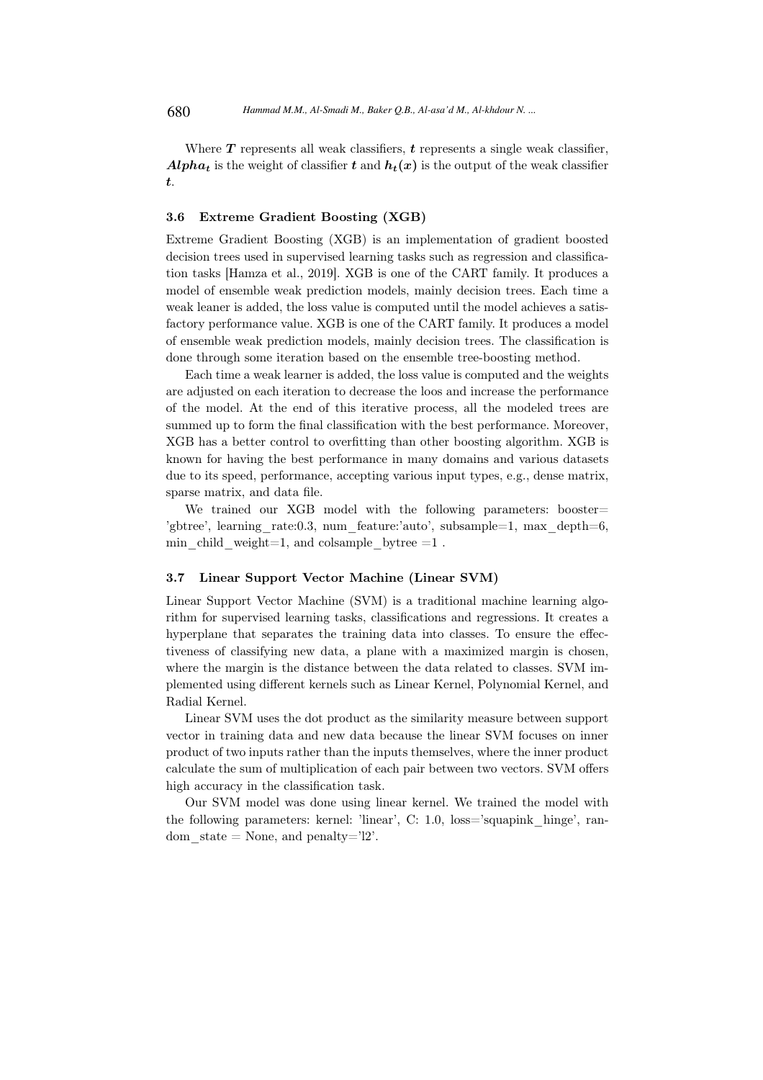Where  $T$  represents all weak classifiers,  $t$  represents a single weak classifier, **Alpha<sub>t</sub>** is the weight of classifier t and  $h_t(x)$  is the output of the weak classifier t.

## 3.6 Extreme Gradient Boosting (XGB)

Extreme Gradient Boosting (XGB) is an implementation of gradient boosted decision trees used in supervised learning tasks such as regression and classification tasks [Hamza et al., 2019]. XGB is one of the CART family. It produces a model of ensemble weak prediction models, mainly decision trees. Each time a weak leaner is added, the loss value is computed until the model achieves a satisfactory performance value. XGB is one of the CART family. It produces a model of ensemble weak prediction models, mainly decision trees. The classification is done through some iteration based on the ensemble tree-boosting method.

Each time a weak learner is added, the loss value is computed and the weights are adjusted on each iteration to decrease the loos and increase the performance of the model. At the end of this iterative process, all the modeled trees are summed up to form the final classification with the best performance. Moreover, XGB has a better control to overfitting than other boosting algorithm. XGB is known for having the best performance in many domains and various datasets due to its speed, performance, accepting various input types, e.g., dense matrix, sparse matrix, and data file.

We trained our XGB model with the following parameters: booster= 'gbtree', learning rate:0.3, num feature:'auto', subsample=1, max depth=6, min child weight=1, and colsample bytree  $=1$ .

#### 3.7 Linear Support Vector Machine (Linear SVM)

Linear Support Vector Machine (SVM) is a traditional machine learning algorithm for supervised learning tasks, classifications and regressions. It creates a hyperplane that separates the training data into classes. To ensure the effectiveness of classifying new data, a plane with a maximized margin is chosen, where the margin is the distance between the data related to classes. SVM implemented using different kernels such as Linear Kernel, Polynomial Kernel, and Radial Kernel.

Linear SVM uses the dot product as the similarity measure between support vector in training data and new data because the linear SVM focuses on inner product of two inputs rather than the inputs themselves, where the inner product calculate the sum of multiplication of each pair between two vectors. SVM offers high accuracy in the classification task.

Our SVM model was done using linear kernel. We trained the model with the following parameters: kernel: 'linear', C: 1.0, loss='squapink hinge', random  $state = None$ , and  $penalty="2$ '.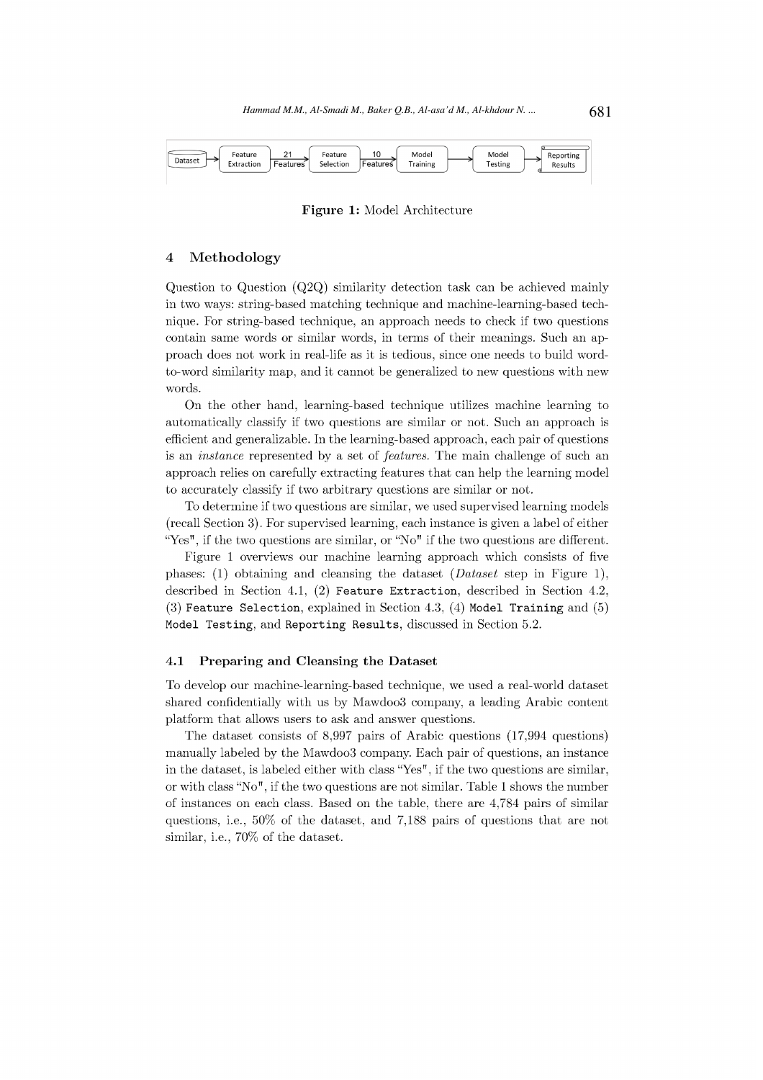

Figure 1: Model Architecture

#### $\overline{\mathbf{4}}$ Methodology

Question to Question  $(Q2Q)$  similarity detection task can be achieved mainly in two ways: string-based matching technique and machine-learning-based technique. For string-based technique, an approach needs to check if two questions contain same words or similar words, in terms of their meanings. Such an approach does not work in real-life as it is tedious, since one needs to build wordto-word similarity map, and it cannot be generalized to new questions with new words.

On the other hand, learning-based technique utilizes machine learning to automatically classify if two questions are similar or not. Such an approach is efficient and generalizable. In the learning-based approach, each pair of questions is an *instance* represented by a set of *features*. The main challenge of such an approach relies on carefully extracting features that can help the learning model to accurately classify if two arbitrary questions are similar or not.

To determine if two questions are similar, we used supervised learning models (recall Section 3). For supervised learning, each instance is given a label of either "Yes", if the two questions are similar, or "No" if the two questions are different.

Figure 1 overviews our machine learning approach which consists of five phases: (1) obtaining and cleansing the dataset  $(Dataset \text{ step in Figure 1}),$ described in Section 4.1, (2) Feature Extraction, described in Section 4.2,  $(3)$  Feature Selection, explained in Section 4.3,  $(4)$  Model Training and  $(5)$ Model Testing, and Reporting Results, discussed in Section 5.2.

#### 4.1 Preparing and Cleansing the Dataset

To develop our machine-learning-based technique, we used a real-world dataset shared confidentially with us by Mawdoo3 company, a leading Arabic content platform that allows users to ask and answer questions.

The dataset consists of  $8,997$  pairs of Arabic questions  $(17,994$  questions) manually labeled by the Mawdoo3 company. Each pair of questions, an instance in the dataset, is labeled either with class "Yes", if the two questions are similar, or with class "No", if the two questions are not similar. Table 1 shows the number of instances on each class. Based on the table, there are 4,784 pairs of similar questions, i.e., 50% of the dataset, and 7,188 pairs of questions that are not similar, i.e., 70% of the dataset.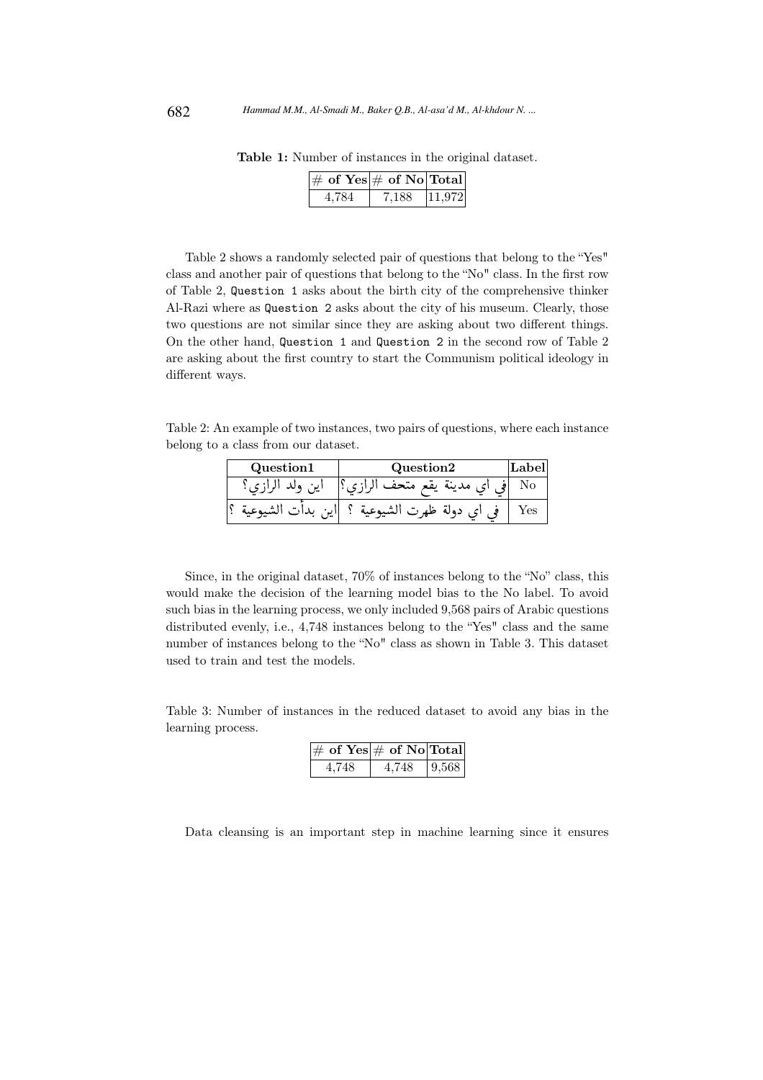| $ \#\;{\mathrm{of}}\;\mathrm{Yes} \#\;\overline{\mathrm{of}}\;\mathrm{No} \mathrm{Total} $ |       |        |
|--------------------------------------------------------------------------------------------|-------|--------|
| 4.784                                                                                      | 7.188 | 11,972 |

Table 1: Number of instances in the original dataset.

Table 2 shows a randomly selected pair of questions that belong to the "Yes" class and another pair of questions that belong to the "No" class. In the first row of Table 2, Question 1 asks about the birth city of the comprehensive thinker Al-Razi where as Question 2 asks about the city of his museum. Clearly, those two questions are not similar since they are asking about two different things. On the other hand, Question 1 and Question 2 in the second row of Table 2 are asking about the first country to start the Communism political ideology in different ways.

Table 2: An example of two instances, two pairs of questions, where each instance belong to a class from our dataset.

| Question1 | Question2                 | Label |
|-----------|---------------------------|-------|
| ا پي.     | مدينة يقع متحف            |       |
| ااین      | دولة ظهرت `<br>الشيوعية ؟ | Yes   |

Since, in the original dataset, 70% of instances belong to the "No" class, this would make the decision of the learning model bias to the No label. To avoid such bias in the learning process, we only included 9,568 pairs of Arabic questions distributed evenly, i.e., 4,748 instances belong to the "Yes" class and the same number of instances belong to the "No" class as shown in Table 3. This dataset used to train and test the models.

Table 3: Number of instances in the reduced dataset to avoid any bias in the learning process.

| $\left \#\right.$ of Yes $\left \#\right.$ of No Total |       |       |
|--------------------------------------------------------|-------|-------|
| 4.748                                                  | 4.748 | 9.568 |

Data cleansing is an important step in machine learning since it ensures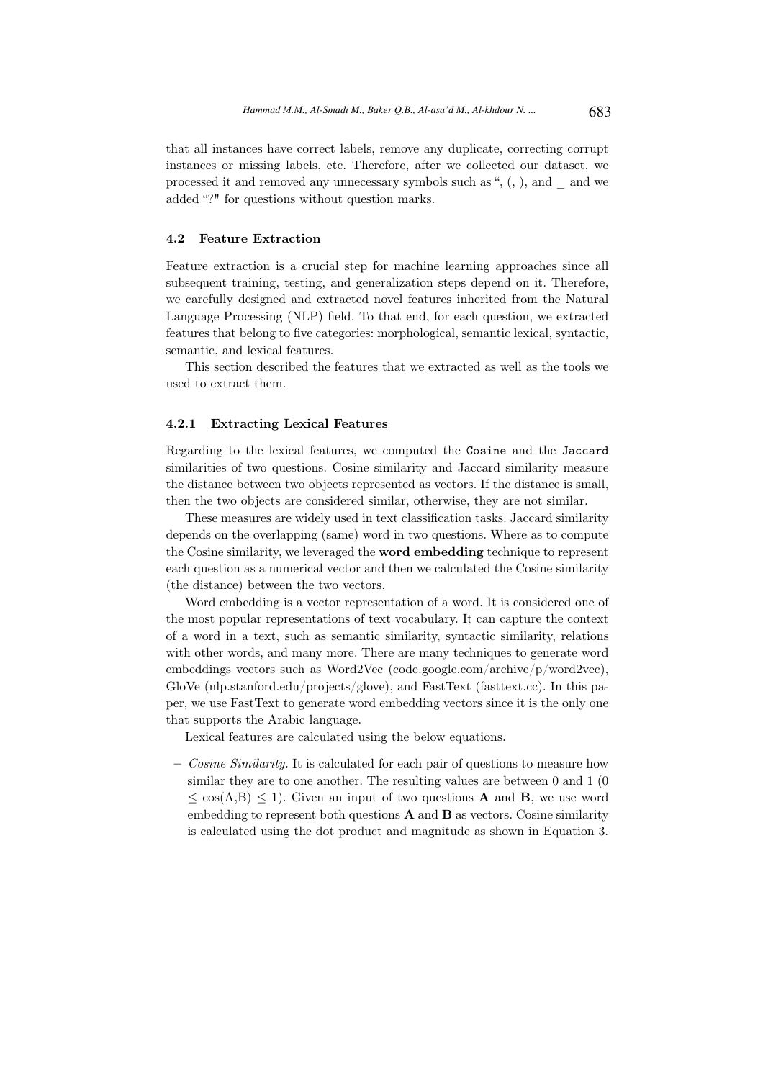that all instances have correct labels, remove any duplicate, correcting corrupt instances or missing labels, etc. Therefore, after we collected our dataset, we processed it and removed any unnecessary symbols such as ", (, ), and \_ and we added "?" for questions without question marks.

#### 4.2 Feature Extraction

Feature extraction is a crucial step for machine learning approaches since all subsequent training, testing, and generalization steps depend on it. Therefore, we carefully designed and extracted novel features inherited from the Natural Language Processing (NLP) field. To that end, for each question, we extracted features that belong to five categories: morphological, semantic lexical, syntactic, semantic, and lexical features.

This section described the features that we extracted as well as the tools we used to extract them.

#### 4.2.1 Extracting Lexical Features

Regarding to the lexical features, we computed the Cosine and the Jaccard similarities of two questions. Cosine similarity and Jaccard similarity measure the distance between two objects represented as vectors. If the distance is small, then the two objects are considered similar, otherwise, they are not similar.

These measures are widely used in text classification tasks. Jaccard similarity depends on the overlapping (same) word in two questions. Where as to compute the Cosine similarity, we leveraged the word embedding technique to represent each question as a numerical vector and then we calculated the Cosine similarity (the distance) between the two vectors.

Word embedding is a vector representation of a word. It is considered one of the most popular representations of text vocabulary. It can capture the context of a word in a text, such as semantic similarity, syntactic similarity, relations with other words, and many more. There are many techniques to generate word embeddings vectors such as Word2Vec (code.google.com/archive/p/word2vec), GloVe (nlp.stanford.edu/projects/glove), and FastText (fasttext.cc). In this paper, we use FastText to generate word embedding vectors since it is the only one that supports the Arabic language.

Lexical features are calculated using the below equations.

– Cosine Similarity. It is calculated for each pair of questions to measure how similar they are to one another. The resulting values are between 0 and 1 (0  $\zeta \cos(A,B) \leq 1$ . Given an input of two questions **A** and **B**, we use word embedding to represent both questions  $A$  and  $B$  as vectors. Cosine similarity is calculated using the dot product and magnitude as shown in Equation 3.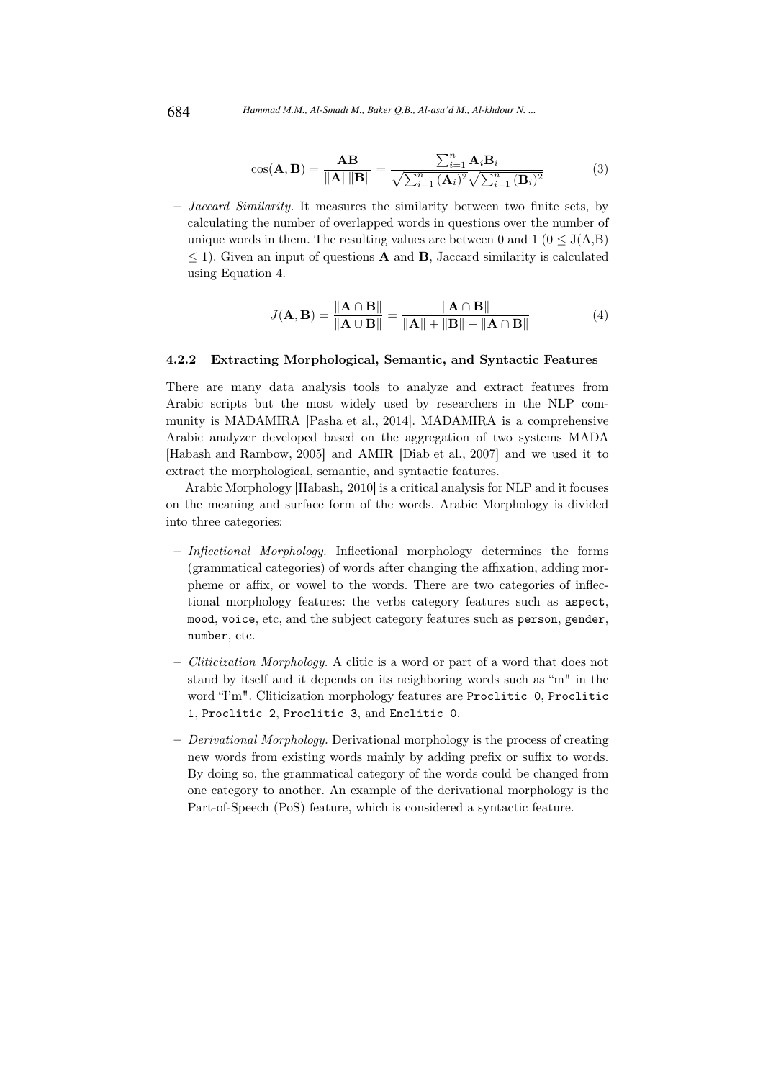$$
\cos(\mathbf{A}, \mathbf{B}) = \frac{\mathbf{A}\mathbf{B}}{\|\mathbf{A}\| \|\mathbf{B}\|} = \frac{\sum_{i=1}^{n} \mathbf{A}_i \mathbf{B}_i}{\sqrt{\sum_{i=1}^{n} (\mathbf{A}_i)^2} \sqrt{\sum_{i=1}^{n} (\mathbf{B}_i)^2}}
$$
(3)

– Jaccard Similarity. It measures the similarity between two finite sets, by calculating the number of overlapped words in questions over the number of unique words in them. The resulting values are between 0 and  $1 (0 \le J(A,B))$  $\leq$  1). Given an input of questions **A** and **B**, Jaccard similarity is calculated using Equation 4.

$$
J(\mathbf{A}, \mathbf{B}) = \frac{\|\mathbf{A} \cap \mathbf{B}\|}{\|\mathbf{A} \cup \mathbf{B}\|} = \frac{\|\mathbf{A} \cap \mathbf{B}\|}{\|\mathbf{A}\| + \|\mathbf{B}\| - \|\mathbf{A} \cap \mathbf{B}\|}
$$
(4)

#### 4.2.2 Extracting Morphological, Semantic, and Syntactic Features

There are many data analysis tools to analyze and extract features from Arabic scripts but the most widely used by researchers in the NLP community is MADAMIRA [Pasha et al., 2014]. MADAMIRA is a comprehensive Arabic analyzer developed based on the aggregation of two systems MADA [Habash and Rambow, 2005] and AMIR [Diab et al., 2007] and we used it to extract the morphological, semantic, and syntactic features.

Arabic Morphology [Habash, 2010] is a critical analysis for NLP and it focuses on the meaning and surface form of the words. Arabic Morphology is divided into three categories:

- Inflectional Morphology. Inflectional morphology determines the forms (grammatical categories) of words after changing the affixation, adding morpheme or affix, or vowel to the words. There are two categories of inflectional morphology features: the verbs category features such as aspect, mood, voice, etc, and the subject category features such as person, gender, number, etc.
- Cliticization Morphology. A clitic is a word or part of a word that does not stand by itself and it depends on its neighboring words such as "m" in the word "I'm". Cliticization morphology features are Proclitic 0, Proclitic 1, Proclitic 2, Proclitic 3, and Enclitic 0.
- $-$  *Derivational Morphology.* Derivational morphology is the process of creating new words from existing words mainly by adding prefix or suffix to words. By doing so, the grammatical category of the words could be changed from one category to another. An example of the derivational morphology is the Part-of-Speech (PoS) feature, which is considered a syntactic feature.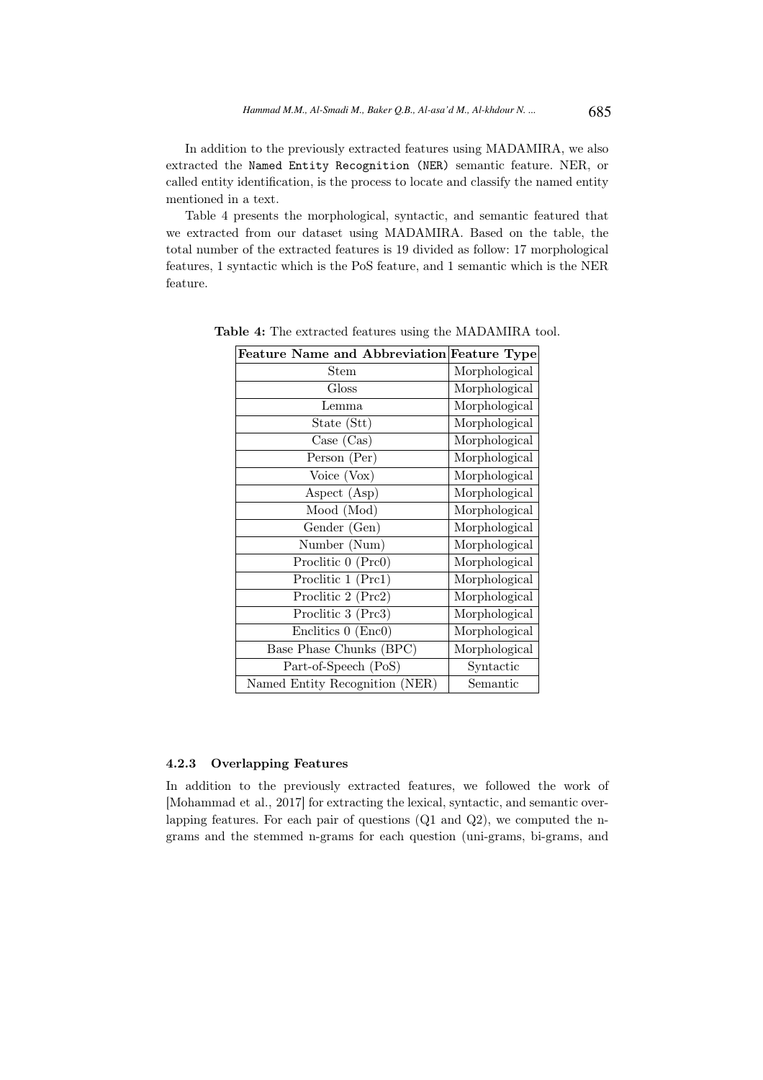In addition to the previously extracted features using MADAMIRA, we also extracted the Named Entity Recognition (NER) semantic feature. NER, or called entity identification, is the process to locate and classify the named entity mentioned in a text.

Table 4 presents the morphological, syntactic, and semantic featured that we extracted from our dataset using MADAMIRA. Based on the table, the total number of the extracted features is 19 divided as follow: 17 morphological features, 1 syntactic which is the PoS feature, and 1 semantic which is the NER feature.

| Feature Name and Abbreviation Feature Type |               |
|--------------------------------------------|---------------|
| Stem                                       | Morphological |
| Gloss                                      | Morphological |
| Lemma                                      | Morphological |
| State (Stt)                                | Morphological |
| Case (Cas)                                 | Morphological |
| Person (Per)                               | Morphological |
| Voice (Vox)                                | Morphological |
| Aspect (Asp)                               | Morphological |
| Mood (Mod)                                 | Morphological |
| Gender (Gen)                               | Morphological |
| Number (Num)                               | Morphological |
| Proclitic 0 (Prc0)                         | Morphological |
| Proclitic 1 (Prc1)                         | Morphological |
| Proclitic 2 (Prc2)                         | Morphological |
| Proclitic 3 (Prc3)                         | Morphological |
| Enclitics 0 (Enc0)                         | Morphological |
| Base Phase Chunks (BPC)                    | Morphological |
| Part-of-Speech (PoS)                       | Syntactic     |
| Named Entity Recognition (NER)             | Semantic      |

Table 4: The extracted features using the MADAMIRA tool.

## 4.2.3 Overlapping Features

In addition to the previously extracted features, we followed the work of [Mohammad et al., 2017] for extracting the lexical, syntactic, and semantic overlapping features. For each pair of questions (Q1 and Q2), we computed the ngrams and the stemmed n-grams for each question (uni-grams, bi-grams, and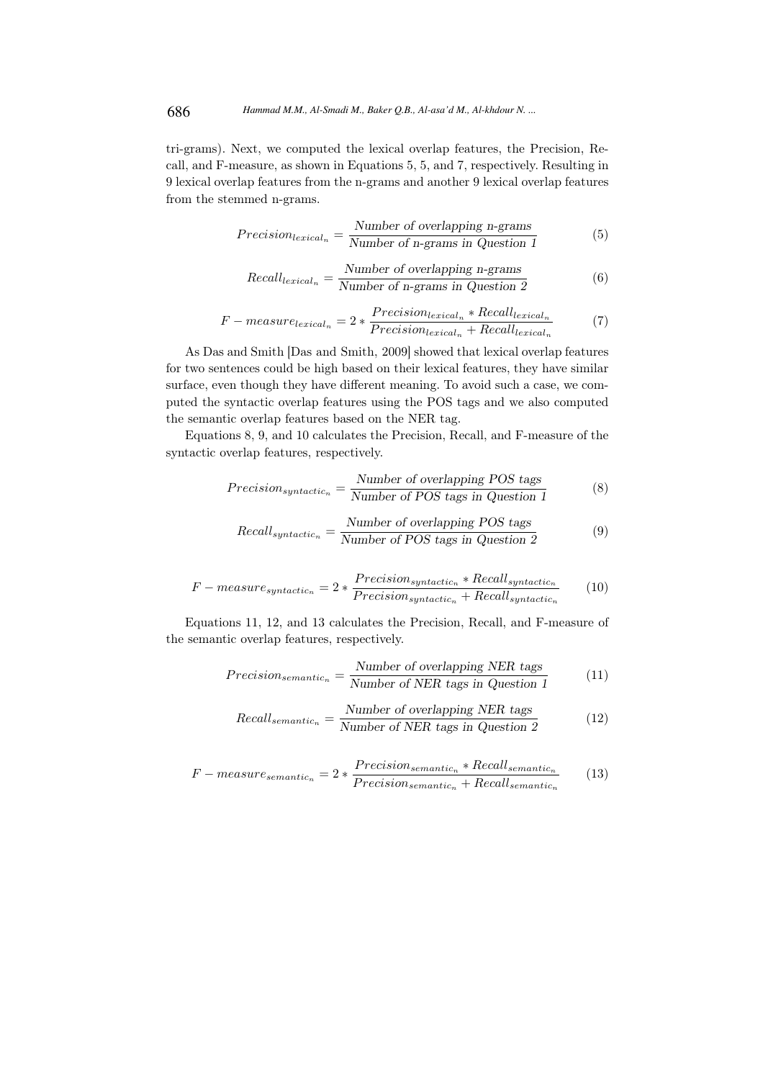tri-grams). Next, we computed the lexical overlap features, the Precision, Recall, and F-measure, as shown in Equations 5, 5, and 7, respectively. Resulting in 9 lexical overlap features from the n-grams and another 9 lexical overlap features from the stemmed n-grams.

$$
Precision_{lexical_n} = \frac{Number\ of\ overlapping\ n-grams}{Number\ of\ n-grams\ in\ Question\ 1}
$$
 (5)

Recall<sub>lexical<sub>n</sub></sub> = 
$$
\frac{\text{Number of overlapping n-grams}}{\text{Number of n-grams in Question 2}}
$$
 (6)

$$
F-measure_{lexical_n} = 2 * \frac{Precision_{lexical_n} * Recall_{lexical_n}}{Precision_{lexical_n} + Recall_{lexical_n}}
$$
(7)

As Das and Smith [Das and Smith, 2009] showed that lexical overlap features for two sentences could be high based on their lexical features, they have similar surface, even though they have different meaning. To avoid such a case, we computed the syntactic overlap features using the POS tags and we also computed the semantic overlap features based on the NER tag.

Equations 8, 9, and 10 calculates the Precision, Recall, and F-measure of the syntactic overlap features, respectively.

$$
Precision_{syntactic_n} = \frac{Number\ of\ overlapping\ POS\ tags}{Number\ of\ POS\ tags\ in\ Question\ 1}
$$
 (8)

Recall<sub>syntactic<sub>n</sub></sub> = 
$$
\frac{\text{Number of overlapping POS tags}}{\text{Number of POS tags in Question 2}}
$$
(9)

$$
F-measure_{syntactic_n} = 2 * \frac{Precision_{syntactic_n} * Recall_{syntactic_n}}{Precision_{syntactic_n} + Recall_{syntactic_n}}
$$
(10)

Equations 11, 12, and 13 calculates the Precision, Recall, and F-measure of the semantic overlap features, respectively.

$$
Precision_{semantic_n} = \frac{Number\ of\ overlapping\ NER\ tags}{Number\ of\ NER\ tags\ in\ Question\ 1}
$$
 (11)

Recall<sub>semantic<sub>n</sub></sub> = 
$$
\frac{\text{Number of overlapping NER tags}}{\text{Number of NER tags in Question 2}}
$$
 (12)

$$
F-measure_{semantic_n} = 2 * \frac{Precision_{semantic_n} * Recall_{semantic_n}}{Precision_{semantic_n} + Recall_{semantic_n}}
$$
(13)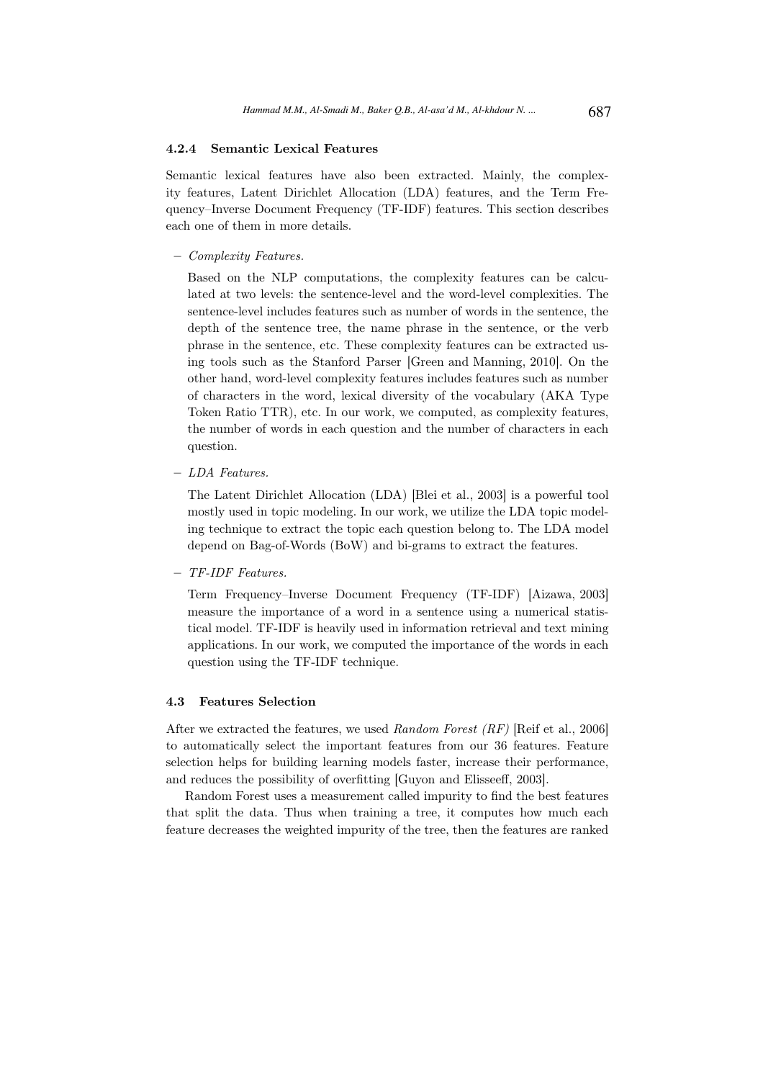## 4.2.4 Semantic Lexical Features

Semantic lexical features have also been extracted. Mainly, the complexity features, Latent Dirichlet Allocation (LDA) features, and the Term Frequency–Inverse Document Frequency (TF-IDF) features. This section describes each one of them in more details.

– Complexity Features.

Based on the NLP computations, the complexity features can be calculated at two levels: the sentence-level and the word-level complexities. The sentence-level includes features such as number of words in the sentence, the depth of the sentence tree, the name phrase in the sentence, or the verb phrase in the sentence, etc. These complexity features can be extracted using tools such as the Stanford Parser [Green and Manning, 2010]. On the other hand, word-level complexity features includes features such as number of characters in the word, lexical diversity of the vocabulary (AKA Type Token Ratio TTR), etc. In our work, we computed, as complexity features, the number of words in each question and the number of characters in each question.

– LDA Features.

The Latent Dirichlet Allocation (LDA) [Blei et al., 2003] is a powerful tool mostly used in topic modeling. In our work, we utilize the LDA topic modeling technique to extract the topic each question belong to. The LDA model depend on Bag-of-Words (BoW) and bi-grams to extract the features.

– TF-IDF Features.

Term Frequency–Inverse Document Frequency (TF-IDF) [Aizawa, 2003] measure the importance of a word in a sentence using a numerical statistical model. TF-IDF is heavily used in information retrieval and text mining applications. In our work, we computed the importance of the words in each question using the TF-IDF technique.

#### 4.3 Features Selection

After we extracted the features, we used Random Forest (RF) [Reif et al., 2006] to automatically select the important features from our 36 features. Feature selection helps for building learning models faster, increase their performance, and reduces the possibility of overfitting [Guyon and Elisseeff, 2003].

Random Forest uses a measurement called impurity to find the best features that split the data. Thus when training a tree, it computes how much each feature decreases the weighted impurity of the tree, then the features are ranked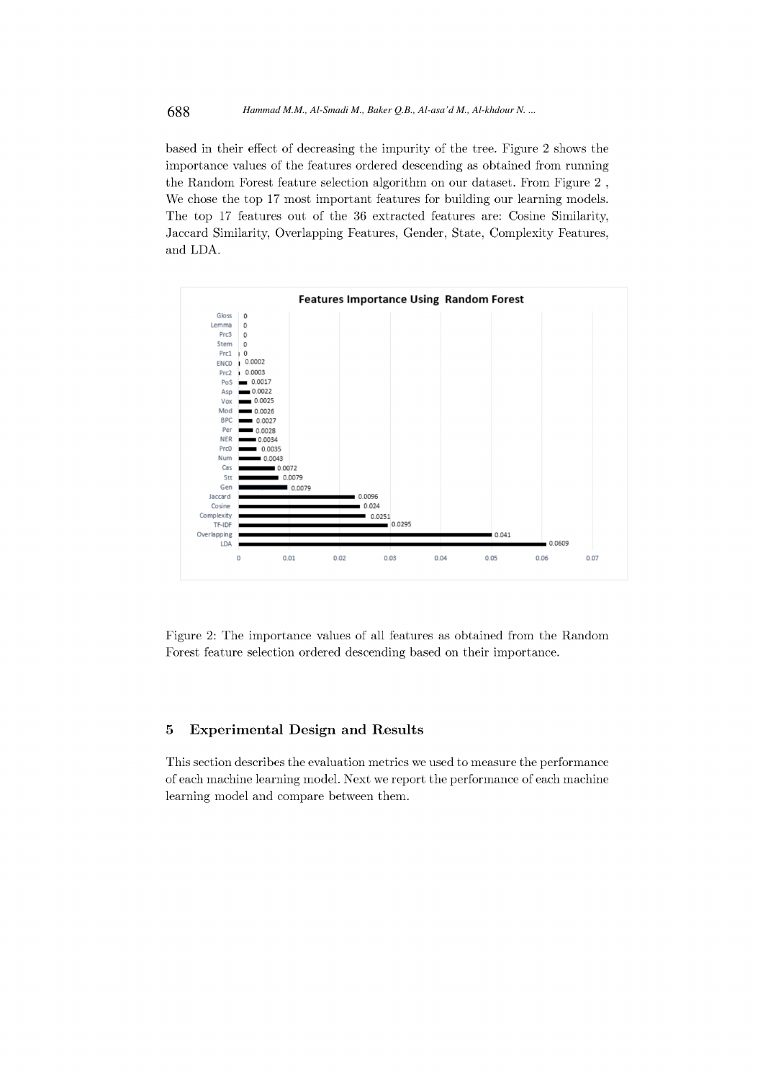#### 688 *Hammad M.M., Al-Smadi M., Baker Q.B., Al-asa'd M., Al-khdour N. ...*

based in their effect of decreasing the impurity of the tree. Figure 2 shows the importance values of the features ordered descending as obtained from running the Random Forest feature selection algorithm on our dataset. From Figure 2, We chose the top 17 most important features for building our learning models. The top 17 features out of the 36 extracted features are: Cosine Similarity, Jaccard Similarity, Overlapping Features, Gender, State, Complexity Features, and LDA.



Figure 2: The importance values of all features as obtained from the Random Forest feature selection ordered descending based on their importance.

#### $\bf{5}$ **Experimental Design and Results**

This section describes the evaluation metrics we used to measure the performance of each machine learning model. Next we report the performance of each machine learning model and compare between them.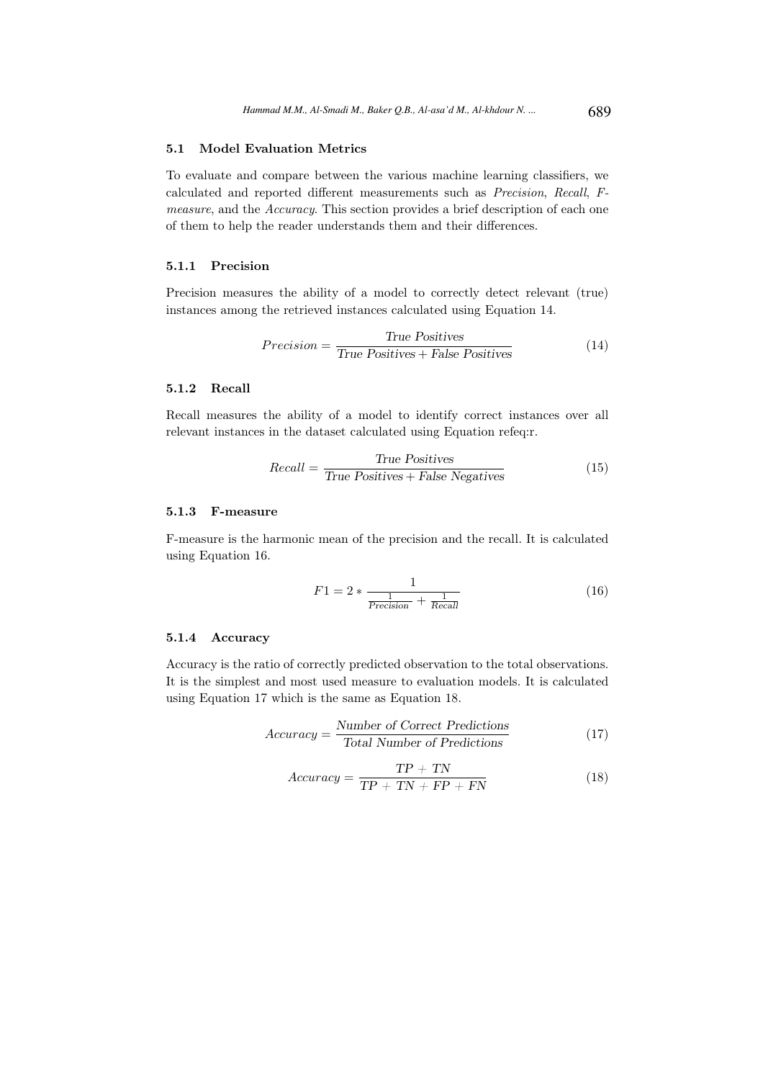## 5.1 Model Evaluation Metrics

To evaluate and compare between the various machine learning classifiers, we calculated and reported different measurements such as Precision, Recall, Fmeasure, and the Accuracy. This section provides a brief description of each one of them to help the reader understands them and their differences.

#### 5.1.1 Precision

Precision measures the ability of a model to correctly detect relevant (true) instances among the retrieved instances calculated using Equation 14.

$$
Precision = \frac{True \; Positive}{True \; Positives + False \; Positives} \tag{14}
$$

### 5.1.2 Recall

Recall measures the ability of a model to identify correct instances over all relevant instances in the dataset calculated using Equation refeq:r.

$$
Recall = \frac{True \; Positive}{True \; Positive + False \; Negative} \tag{15}
$$

## 5.1.3 F-measure

F-measure is the harmonic mean of the precision and the recall. It is calculated using Equation 16.

$$
F1 = 2 * \frac{1}{\frac{1}{Precision} + \frac{1}{Recall}}
$$
(16)

## 5.1.4 Accuracy

Accuracy is the ratio of correctly predicted observation to the total observations. It is the simplest and most used measure to evaluation models. It is calculated using Equation 17 which is the same as Equation 18.

$$
Accuracy = \frac{Number\ of\ Correct\ Predictions}{Total\ Number\ of\ Predictions}
$$
 (17)

$$
Accuracy = \frac{TP + TN}{TP + TN + FP + FN}
$$
\n(18)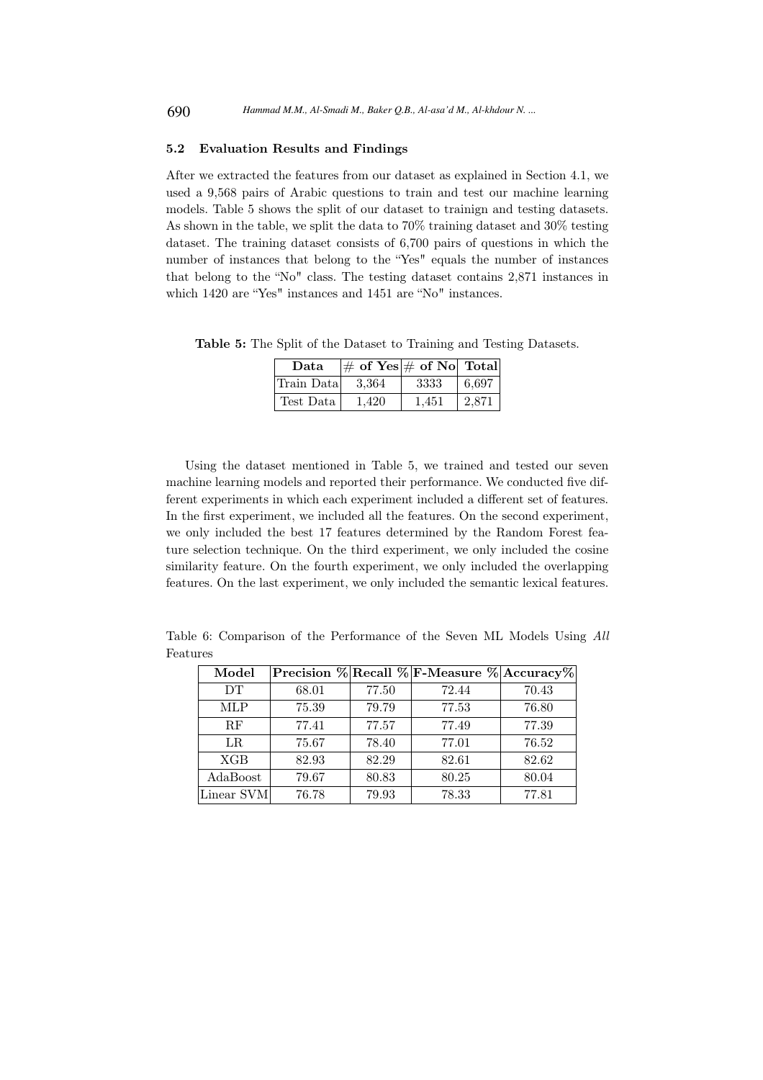## 5.2 Evaluation Results and Findings

After we extracted the features from our dataset as explained in Section 4.1, we used a 9,568 pairs of Arabic questions to train and test our machine learning models. Table 5 shows the split of our dataset to trainign and testing datasets. As shown in the table, we split the data to 70% training dataset and 30% testing dataset. The training dataset consists of 6,700 pairs of questions in which the number of instances that belong to the "Yes" equals the number of instances that belong to the "No" class. The testing dataset contains 2,871 instances in which 1420 are "Yes" instances and 1451 are "No" instances.

Table 5: The Split of the Dataset to Training and Testing Datasets.

| Data       | $\left \#\right.$ of Yes $\left \#\right.$ of No Total |       |       |
|------------|--------------------------------------------------------|-------|-------|
| Train Data | - 3.364                                                | 3333  | 6,697 |
| Test Data  | 1.420                                                  | 1.451 | 2,871 |

Using the dataset mentioned in Table 5, we trained and tested our seven machine learning models and reported their performance. We conducted five different experiments in which each experiment included a different set of features. In the first experiment, we included all the features. On the second experiment, we only included the best 17 features determined by the Random Forest feature selection technique. On the third experiment, we only included the cosine similarity feature. On the fourth experiment, we only included the overlapping features. On the last experiment, we only included the semantic lexical features.

Table 6: Comparison of the Performance of the Seven ML Models Using All Features

| Model      |       |       | Precision % Recall % F-Measure % Accuracy% |       |
|------------|-------|-------|--------------------------------------------|-------|
| <b>DT</b>  | 68.01 | 77.50 | 72.44                                      | 70.43 |
| <b>MLP</b> | 75.39 | 79.79 | 77.53                                      | 76.80 |
| RF         | 77.41 | 77.57 | 77.49                                      | 77.39 |
| LR         | 75.67 | 78.40 | 77.01                                      | 76.52 |
| <b>XGB</b> | 82.93 | 82.29 | 82.61                                      | 82.62 |
| AdaBoost   | 79.67 | 80.83 | 80.25                                      | 80.04 |
| Linear SVM | 76.78 | 79.93 | 78.33                                      | 77.81 |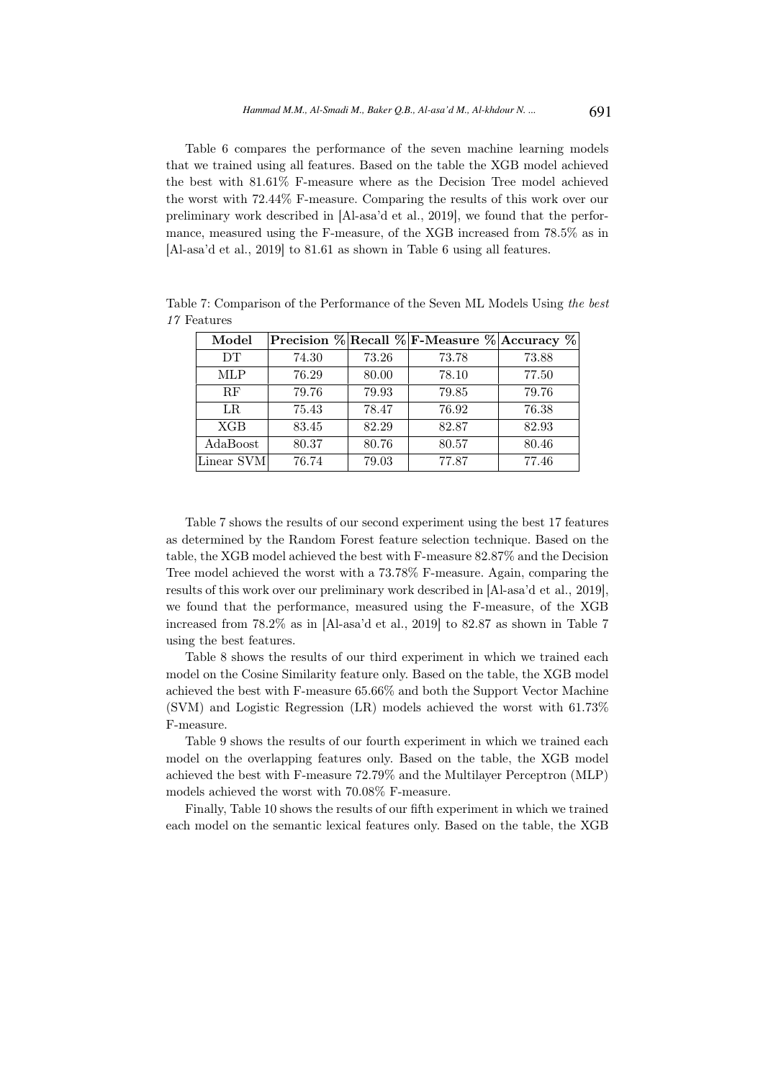Table 6 compares the performance of the seven machine learning models that we trained using all features. Based on the table the XGB model achieved the best with 81.61% F-measure where as the Decision Tree model achieved the worst with 72.44% F-measure. Comparing the results of this work over our preliminary work described in [Al-asa'd et al., 2019], we found that the performance, measured using the F-measure, of the XGB increased from 78.5% as in [Al-asa'd et al., 2019] to 81.61 as shown in Table 6 using all features.

| Model      |       |       | Precision % Recall % F-Measure % Accuracy % |       |
|------------|-------|-------|---------------------------------------------|-------|
| DT.        | 74.30 | 73.26 | 73.78                                       | 73.88 |
| <b>MLP</b> | 76.29 | 80.00 | 78.10                                       | 77.50 |
| RF         | 79.76 | 79.93 | 79.85                                       | 79.76 |
| $_{LR}$    | 75.43 | 78.47 | 76.92                                       | 76.38 |
| <b>XGB</b> | 83.45 | 82.29 | 82.87                                       | 82.93 |
| AdaBoost   | 80.37 | 80.76 | 80.57                                       | 80.46 |
| Linear SVM | 76.74 | 79.03 | 77.87                                       | 77.46 |

Table 7: Comparison of the Performance of the Seven ML Models Using the best 17 Features

Table 7 shows the results of our second experiment using the best 17 features as determined by the Random Forest feature selection technique. Based on the table, the XGB model achieved the best with F-measure 82.87% and the Decision Tree model achieved the worst with a 73.78% F-measure. Again, comparing the results of this work over our preliminary work described in [Al-asa'd et al., 2019], we found that the performance, measured using the F-measure, of the XGB increased from 78.2% as in [Al-asa'd et al., 2019] to 82.87 as shown in Table 7 using the best features.

Table 8 shows the results of our third experiment in which we trained each model on the Cosine Similarity feature only. Based on the table, the XGB model achieved the best with F-measure 65.66% and both the Support Vector Machine (SVM) and Logistic Regression (LR) models achieved the worst with 61.73% F-measure.

Table 9 shows the results of our fourth experiment in which we trained each model on the overlapping features only. Based on the table, the XGB model achieved the best with F-measure 72.79% and the Multilayer Perceptron (MLP) models achieved the worst with 70.08% F-measure.

Finally, Table 10 shows the results of our fifth experiment in which we trained each model on the semantic lexical features only. Based on the table, the XGB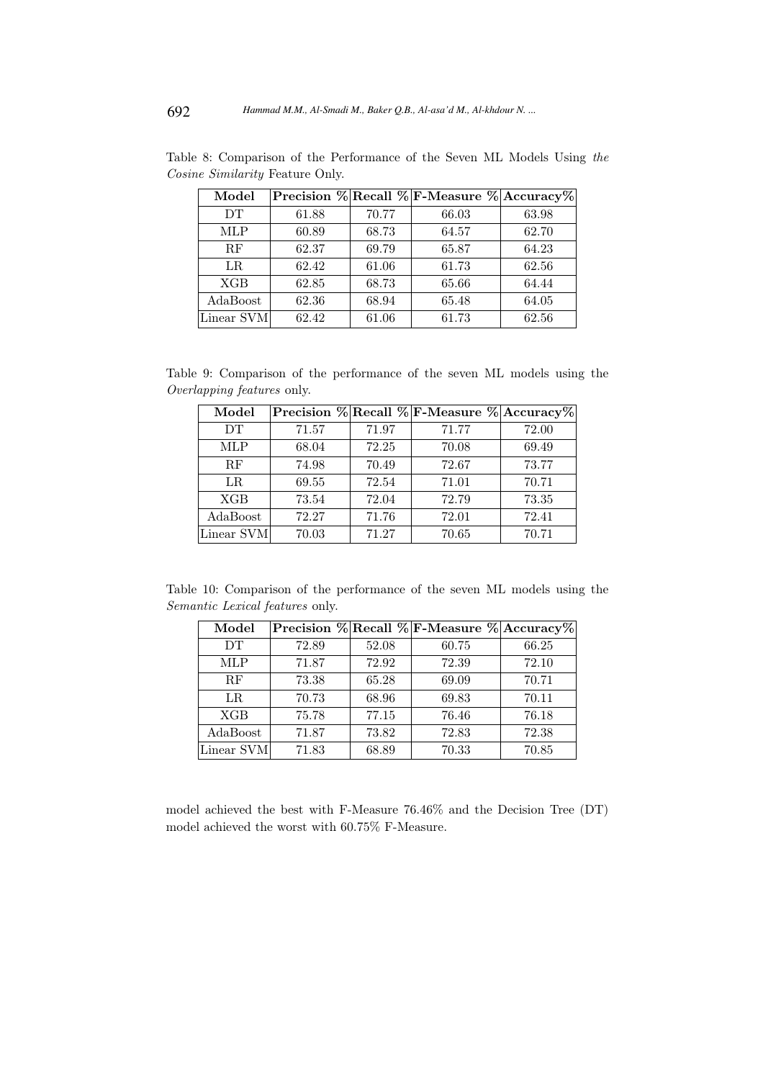| Model      |       |       | Precision % Recall % F-Measure % Accuracy% |       |
|------------|-------|-------|--------------------------------------------|-------|
| DT         | 61.88 | 70.77 | 66.03                                      | 63.98 |
| <b>MLP</b> | 60.89 | 68.73 | 64.57                                      | 62.70 |
| RF         | 62.37 | 69.79 | 65.87                                      | 64.23 |
| LR         | 62.42 | 61.06 | 61.73                                      | 62.56 |
| <b>XGB</b> | 62.85 | 68.73 | 65.66                                      | 64.44 |
| AdaBoost   | 62.36 | 68.94 | 65.48                                      | 64.05 |
| Linear SVM | 62.42 | 61.06 | 61.73                                      | 62.56 |

Table 8: Comparison of the Performance of the Seven ML Models Using the Cosine Similarity Feature Only.

Table 9: Comparison of the performance of the seven ML models using the Overlapping features only.

| Model      |       |       | Precision % Recall % F-Measure % Accuracy% |       |
|------------|-------|-------|--------------------------------------------|-------|
| DT.        | 71.57 | 71.97 | 71.77                                      | 72.00 |
| <b>MLP</b> | 68.04 | 72.25 | 70.08                                      | 69.49 |
| RF         | 74.98 | 70.49 | 72.67                                      | 73.77 |
| $_{LR}$    | 69.55 | 72.54 | 71.01                                      | 70.71 |
| <b>XGB</b> | 73.54 | 72.04 | 72.79                                      | 73.35 |
| AdaBoost   | 72.27 | 71.76 | 72.01                                      | 72.41 |
| Linear SVM | 70.03 | 71.27 | 70.65                                      | 70.71 |

Table 10: Comparison of the performance of the seven ML models using the Semantic Lexical features only.

| Model      |       |       | Precision % Recall % F-Measure % Accuracy% |       |
|------------|-------|-------|--------------------------------------------|-------|
| <b>DT</b>  | 72.89 | 52.08 | 60.75                                      | 66.25 |
| <b>MLP</b> | 71.87 | 72.92 | 72.39                                      | 72.10 |
| RF         | 73.38 | 65.28 | 69.09                                      | 70.71 |
| LR         | 70.73 | 68.96 | 69.83                                      | 70.11 |
| <b>XGB</b> | 75.78 | 77.15 | 76.46                                      | 76.18 |
| AdaBoost   | 71.87 | 73.82 | 72.83                                      | 72.38 |
| Linear SVM | 71.83 | 68.89 | 70.33                                      | 70.85 |

model achieved the best with F-Measure 76.46% and the Decision Tree (DT) model achieved the worst with 60.75% F-Measure.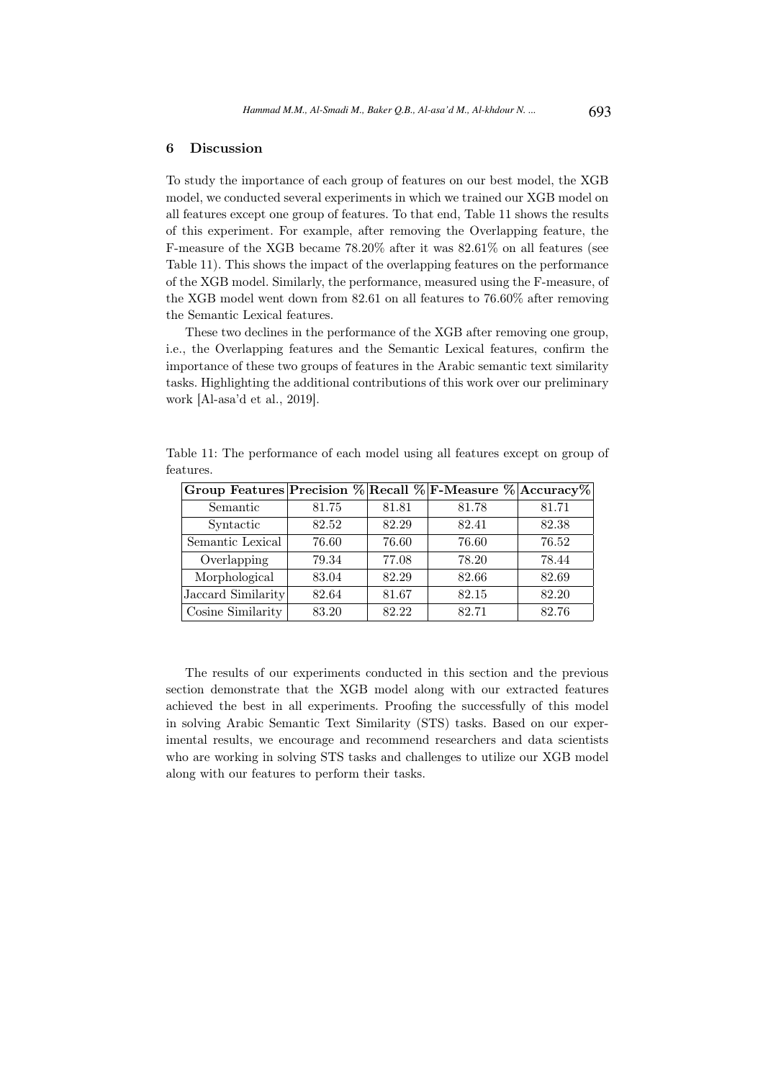## 6 Discussion

To study the importance of each group of features on our best model, the XGB model, we conducted several experiments in which we trained our XGB model on all features except one group of features. To that end, Table 11 shows the results of this experiment. For example, after removing the Overlapping feature, the F-measure of the XGB became 78.20% after it was 82.61% on all features (see Table 11). This shows the impact of the overlapping features on the performance of the XGB model. Similarly, the performance, measured using the F-measure, of the XGB model went down from 82.61 on all features to 76.60% after removing the Semantic Lexical features.

These two declines in the performance of the XGB after removing one group, i.e., the Overlapping features and the Semantic Lexical features, confirm the importance of these two groups of features in the Arabic semantic text similarity tasks. Highlighting the additional contributions of this work over our preliminary work [Al-asa'd et al., 2019].

| Group Features Precision % Recall % F-Measure % Accuracy % |       |       |       |       |
|------------------------------------------------------------|-------|-------|-------|-------|
| Semantic                                                   | 81.75 | 81.81 | 81.78 | 81.71 |
| Syntactic                                                  | 82.52 | 82.29 | 82.41 | 82.38 |
| Semantic Lexical                                           | 76.60 | 76.60 | 76.60 | 76.52 |
| Overlapping                                                | 79.34 | 77.08 | 78.20 | 78.44 |
| Morphological                                              | 83.04 | 82.29 | 82.66 | 82.69 |
| Jaccard Similarity                                         | 82.64 | 81.67 | 82.15 | 82.20 |
| Cosine Similarity                                          | 83.20 | 82.22 | 82.71 | 82.76 |

Table 11: The performance of each model using all features except on group of features.

The results of our experiments conducted in this section and the previous section demonstrate that the XGB model along with our extracted features achieved the best in all experiments. Proofing the successfully of this model in solving Arabic Semantic Text Similarity (STS) tasks. Based on our experimental results, we encourage and recommend researchers and data scientists who are working in solving STS tasks and challenges to utilize our XGB model along with our features to perform their tasks.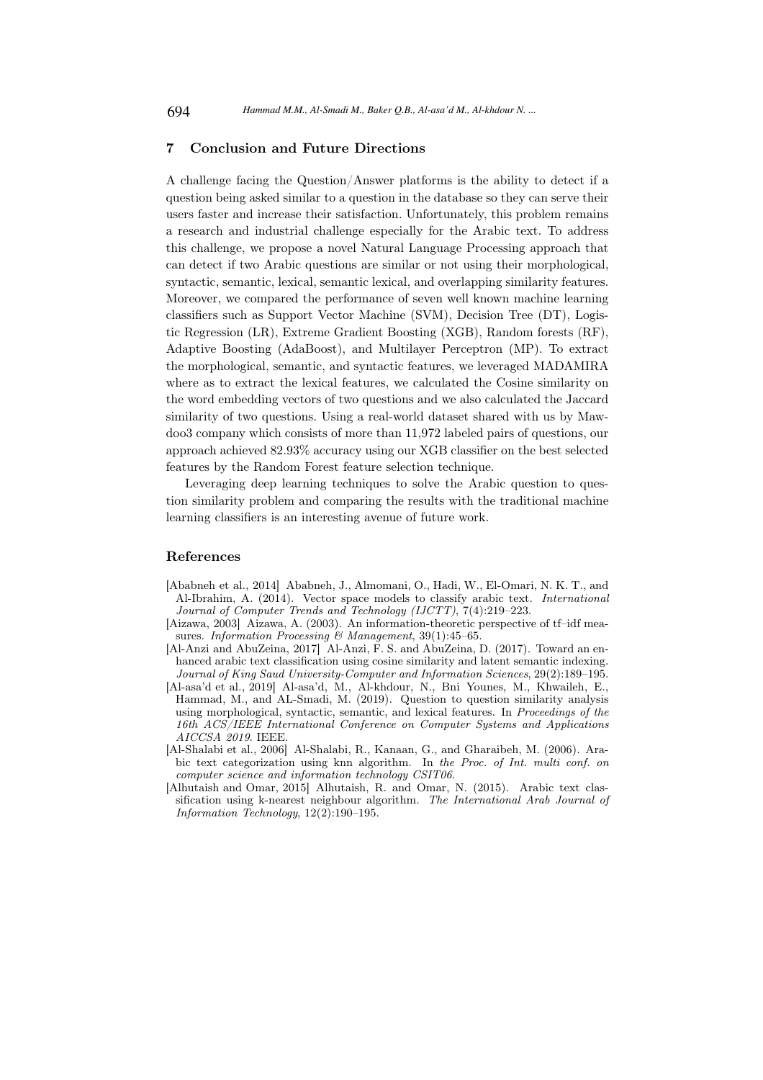## 7 Conclusion and Future Directions

A challenge facing the Question/Answer platforms is the ability to detect if a question being asked similar to a question in the database so they can serve their users faster and increase their satisfaction. Unfortunately, this problem remains a research and industrial challenge especially for the Arabic text. To address this challenge, we propose a novel Natural Language Processing approach that can detect if two Arabic questions are similar or not using their morphological, syntactic, semantic, lexical, semantic lexical, and overlapping similarity features. Moreover, we compared the performance of seven well known machine learning classifiers such as Support Vector Machine (SVM), Decision Tree (DT), Logistic Regression (LR), Extreme Gradient Boosting (XGB), Random forests (RF), Adaptive Boosting (AdaBoost), and Multilayer Perceptron (MP). To extract the morphological, semantic, and syntactic features, we leveraged MADAMIRA where as to extract the lexical features, we calculated the Cosine similarity on the word embedding vectors of two questions and we also calculated the Jaccard similarity of two questions. Using a real-world dataset shared with us by Mawdoo3 company which consists of more than 11,972 labeled pairs of questions, our approach achieved 82.93% accuracy using our XGB classifier on the best selected features by the Random Forest feature selection technique.

Leveraging deep learning techniques to solve the Arabic question to question similarity problem and comparing the results with the traditional machine learning classifiers is an interesting avenue of future work.

#### References

- [Ababneh et al., 2014] Ababneh, J., Almomani, O., Hadi, W., El-Omari, N. K. T., and Al-Ibrahim, A. (2014). Vector space models to classify arabic text. *International Journal of Computer Trends and Technology (IJCTT)*, 7(4):219–223.
- [Aizawa, 2003] Aizawa, A. (2003). An information-theoretic perspective of tf–idf measures. *Information Processing & Management*, 39(1):45–65.
- [Al-Anzi and AbuZeina, 2017] Al-Anzi, F. S. and AbuZeina, D. (2017). Toward an enhanced arabic text classification using cosine similarity and latent semantic indexing. *Journal of King Saud University-Computer and Information Sciences*, 29(2):189–195.
- [Al-asa'd et al., 2019] Al-asa'd, M., Al-khdour, N., Bni Younes, M., Khwaileh, E., Hammad, M., and AL-Smadi, M. (2019). Question to question similarity analysis using morphological, syntactic, semantic, and lexical features. In *Proceedings of the 16th ACS/IEEE International Conference on Computer Systems and Applications AICCSA 2019*. IEEE.
- [Al-Shalabi et al., 2006] Al-Shalabi, R., Kanaan, G., and Gharaibeh, M. (2006). Arabic text categorization using knn algorithm. In *the Proc. of Int. multi conf. on computer science and information technology CSIT06*.
- [Alhutaish and Omar, 2015] Alhutaish, R. and Omar, N. (2015). Arabic text classification using k-nearest neighbour algorithm. *The International Arab Journal of Information Technology*, 12(2):190–195.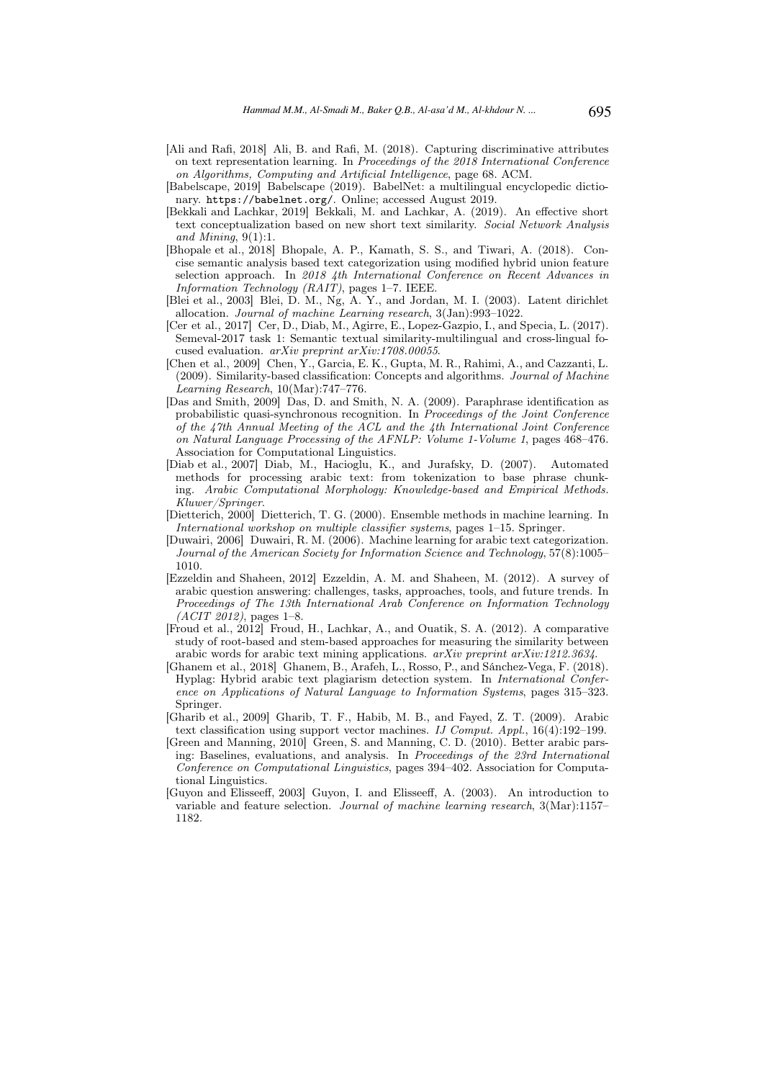- [Ali and Rafi, 2018] Ali, B. and Rafi, M. (2018). Capturing discriminative attributes on text representation learning. In *Proceedings of the 2018 International Conference on Algorithms, Computing and Artificial Intelligence*, page 68. ACM.
- [Babelscape, 2019] Babelscape (2019). BabelNet: a multilingual encyclopedic dictionary. https://babelnet.org/. Online; accessed August 2019.
- [Bekkali and Lachkar, 2019] Bekkali, M. and Lachkar, A. (2019). An effective short text conceptualization based on new short text similarity. *Social Network Analysis and Mining*, 9(1):1.
- [Bhopale et al., 2018] Bhopale, A. P., Kamath, S. S., and Tiwari, A. (2018). Concise semantic analysis based text categorization using modified hybrid union feature selection approach. In *2018 4th International Conference on Recent Advances in Information Technology (RAIT)*, pages 1–7. IEEE.
- [Blei et al., 2003] Blei, D. M., Ng, A. Y., and Jordan, M. I. (2003). Latent dirichlet allocation. *Journal of machine Learning research*, 3(Jan):993–1022.
- [Cer et al., 2017] Cer, D., Diab, M., Agirre, E., Lopez-Gazpio, I., and Specia, L. (2017). Semeval-2017 task 1: Semantic textual similarity-multilingual and cross-lingual focused evaluation. *arXiv preprint arXiv:1708.00055*.
- [Chen et al., 2009] Chen, Y., Garcia, E. K., Gupta, M. R., Rahimi, A., and Cazzanti, L. (2009). Similarity-based classification: Concepts and algorithms. *Journal of Machine Learning Research*, 10(Mar):747–776.
- [Das and Smith, 2009] Das, D. and Smith, N. A. (2009). Paraphrase identification as probabilistic quasi-synchronous recognition. In *Proceedings of the Joint Conference of the 47th Annual Meeting of the ACL and the 4th International Joint Conference on Natural Language Processing of the AFNLP: Volume 1-Volume 1*, pages 468–476. Association for Computational Linguistics.
- [Diab et al., 2007] Diab, M., Hacioglu, K., and Jurafsky, D. (2007). Automated methods for processing arabic text: from tokenization to base phrase chunking. *Arabic Computational Morphology: Knowledge-based and Empirical Methods. Kluwer/Springer*.
- [Dietterich, 2000] Dietterich, T. G. (2000). Ensemble methods in machine learning. In *International workshop on multiple classifier systems*, pages 1–15. Springer.
- [Duwairi, 2006] Duwairi, R. M. (2006). Machine learning for arabic text categorization. *Journal of the American Society for Information Science and Technology*, 57(8):1005– 1010.
- [Ezzeldin and Shaheen, 2012] Ezzeldin, A. M. and Shaheen, M. (2012). A survey of arabic question answering: challenges, tasks, approaches, tools, and future trends. In *Proceedings of The 13th International Arab Conference on Information Technology (ACIT 2012)*, pages 1–8.
- [Froud et al., 2012] Froud, H., Lachkar, A., and Ouatik, S. A. (2012). A comparative study of root-based and stem-based approaches for measuring the similarity between arabic words for arabic text mining applications. *arXiv preprint arXiv:1212.3634*.
- [Ghanem et al., 2018] Ghanem, B., Arafeh, L., Rosso, P., and Sánchez-Vega, F. (2018). Hyplag: Hybrid arabic text plagiarism detection system. In *International Conference on Applications of Natural Language to Information Systems*, pages 315–323. Springer.
- [Gharib et al., 2009] Gharib, T. F., Habib, M. B., and Fayed, Z. T. (2009). Arabic text classification using support vector machines. *IJ Comput. Appl.*, 16(4):192–199.
- [Green and Manning, 2010] Green, S. and Manning, C. D. (2010). Better arabic parsing: Baselines, evaluations, and analysis. In *Proceedings of the 23rd International Conference on Computational Linguistics*, pages 394–402. Association for Computational Linguistics.
- [Guyon and Elisseeff, 2003] Guyon, I. and Elisseeff, A. (2003). An introduction to variable and feature selection. *Journal of machine learning research*, 3(Mar):1157– 1182.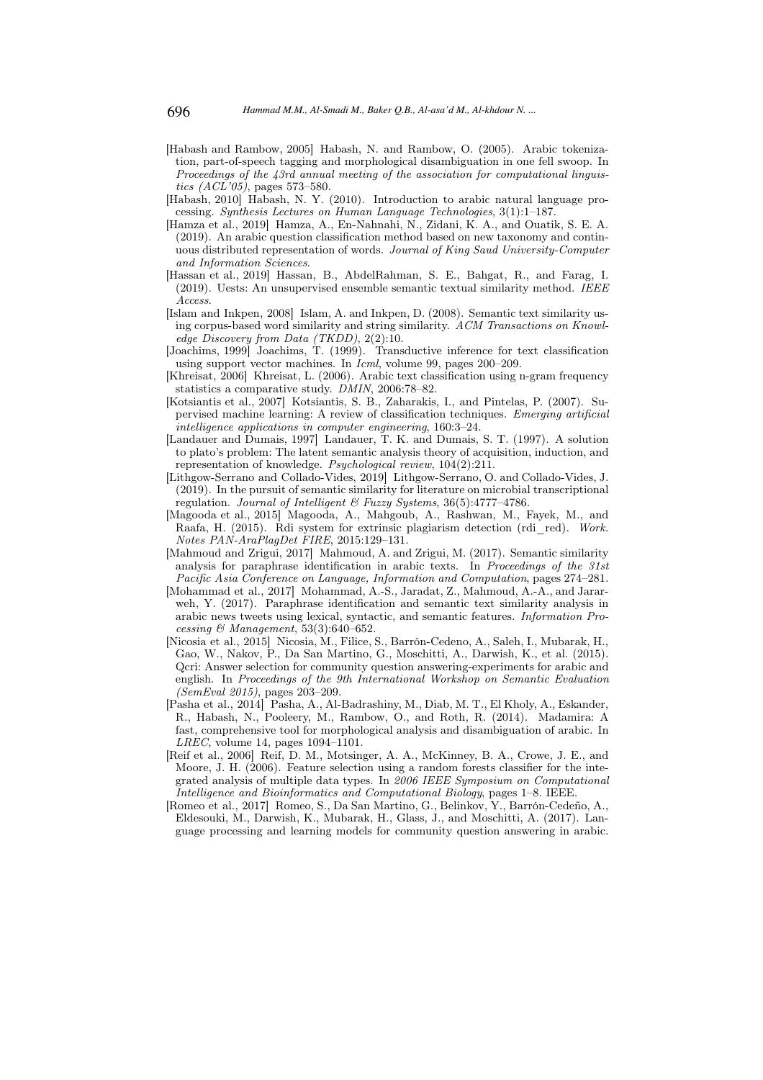- [Habash and Rambow, 2005] Habash, N. and Rambow, O. (2005). Arabic tokenization, part-of-speech tagging and morphological disambiguation in one fell swoop. In *Proceedings of the 43rd annual meeting of the association for computational linguistics (ACL'05)*, pages 573–580.
- [Habash, 2010] Habash, N. Y. (2010). Introduction to arabic natural language processing. *Synthesis Lectures on Human Language Technologies*, 3(1):1–187.
- [Hamza et al., 2019] Hamza, A., En-Nahnahi, N., Zidani, K. A., and Ouatik, S. E. A. (2019). An arabic question classification method based on new taxonomy and continuous distributed representation of words. *Journal of King Saud University-Computer and Information Sciences*.
- [Hassan et al., 2019] Hassan, B., AbdelRahman, S. E., Bahgat, R., and Farag, I. (2019). Uests: An unsupervised ensemble semantic textual similarity method. *IEEE Access*.
- [Islam and Inkpen, 2008] Islam, A. and Inkpen, D. (2008). Semantic text similarity using corpus-based word similarity and string similarity. *ACM Transactions on Knowledge Discovery from Data (TKDD)*, 2(2):10.
- [Joachims, 1999] Joachims, T. (1999). Transductive inference for text classification using support vector machines. In *Icml*, volume 99, pages 200–209.
- [Khreisat, 2006] Khreisat, L. (2006). Arabic text classification using n-gram frequency statistics a comparative study. *DMIN*, 2006:78–82.
- [Kotsiantis et al., 2007] Kotsiantis, S. B., Zaharakis, I., and Pintelas, P. (2007). Supervised machine learning: A review of classification techniques. *Emerging artificial intelligence applications in computer engineering*, 160:3–24.
- [Landauer and Dumais, 1997] Landauer, T. K. and Dumais, S. T. (1997). A solution to plato's problem: The latent semantic analysis theory of acquisition, induction, and representation of knowledge. *Psychological review*, 104(2):211.
- [Lithgow-Serrano and Collado-Vides, 2019] Lithgow-Serrano, O. and Collado-Vides, J. (2019). In the pursuit of semantic similarity for literature on microbial transcriptional regulation. *Journal of Intelligent & Fuzzy Systems*, 36(5):4777–4786.
- [Magooda et al., 2015] Magooda, A., Mahgoub, A., Rashwan, M., Fayek, M., and Raafa, H. (2015). Rdi system for extrinsic plagiarism detection (rdi\_red). *Work. Notes PAN-AraPlagDet FIRE*, 2015:129–131.
- [Mahmoud and Zrigui, 2017] Mahmoud, A. and Zrigui, M. (2017). Semantic similarity analysis for paraphrase identification in arabic texts. In *Proceedings of the 31st Pacific Asia Conference on Language, Information and Computation*, pages 274–281.
- [Mohammad et al., 2017] Mohammad, A.-S., Jaradat, Z., Mahmoud, A.-A., and Jararweh, Y. (2017). Paraphrase identification and semantic text similarity analysis in arabic news tweets using lexical, syntactic, and semantic features. *Information Processing & Management*, 53(3):640–652.
- [Nicosia et al., 2015] Nicosia, M., Filice, S., Barrón-Cedeno, A., Saleh, I., Mubarak, H., Gao, W., Nakov, P., Da San Martino, G., Moschitti, A., Darwish, K., et al. (2015). Qcri: Answer selection for community question answering-experiments for arabic and english. In *Proceedings of the 9th International Workshop on Semantic Evaluation (SemEval 2015)*, pages 203–209.
- [Pasha et al., 2014] Pasha, A., Al-Badrashiny, M., Diab, M. T., El Kholy, A., Eskander, R., Habash, N., Pooleery, M., Rambow, O., and Roth, R. (2014). Madamira: A fast, comprehensive tool for morphological analysis and disambiguation of arabic. In *LREC*, volume 14, pages 1094–1101.
- [Reif et al., 2006] Reif, D. M., Motsinger, A. A., McKinney, B. A., Crowe, J. E., and Moore, J. H. (2006). Feature selection using a random forests classifier for the integrated analysis of multiple data types. In *2006 IEEE Symposium on Computational Intelligence and Bioinformatics and Computational Biology*, pages 1–8. IEEE.
- [Romeo et al., 2017] Romeo, S., Da San Martino, G., Belinkov, Y., Barrón-Cedeño, A., Eldesouki, M., Darwish, K., Mubarak, H., Glass, J., and Moschitti, A. (2017). Language processing and learning models for community question answering in arabic.